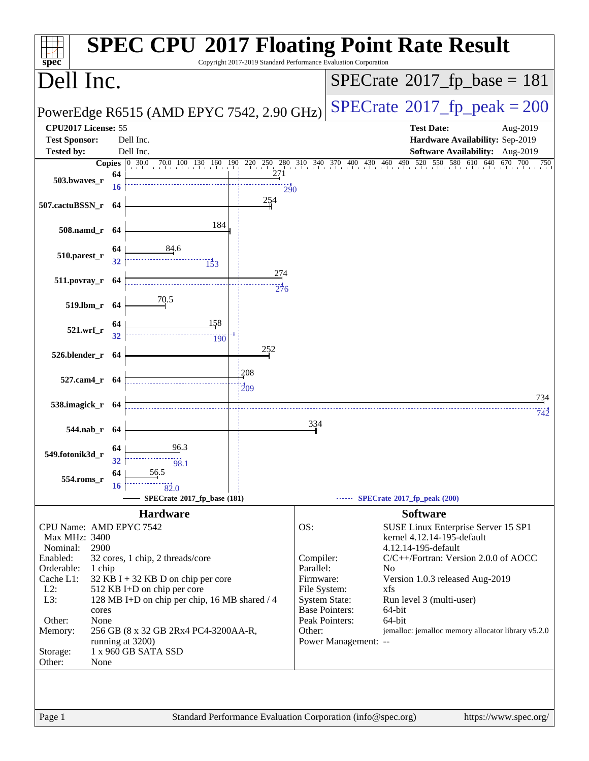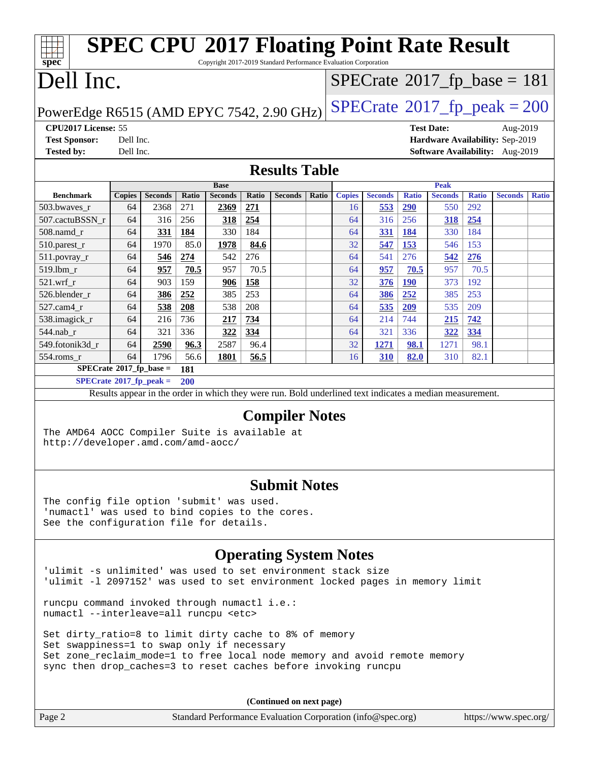#### **[spec](http://www.spec.org/) [SPEC CPU](http://www.spec.org/auto/cpu2017/Docs/result-fields.html#SPECCPU2017FloatingPointRateResult)[2017 Floating Point Rate Result](http://www.spec.org/auto/cpu2017/Docs/result-fields.html#SPECCPU2017FloatingPointRateResult)** Copyright 2017-2019 Standard Performance Evaluation Corporation Dell Inc. PowerEdge R6515 (AMD EPYC 7542, 2.90 GHz)  $\text{SPECrate}^{\circ}2017\_fp\_peak = 200$  $\text{SPECrate}^{\circ}2017\_fp\_peak = 200$  $\text{SPECrate}^{\circ}2017\_fp\_peak = 200$  $SPECTate@2017_fp\_base = 181$ **[CPU2017 License:](http://www.spec.org/auto/cpu2017/Docs/result-fields.html#CPU2017License)** 55 **[Test Date:](http://www.spec.org/auto/cpu2017/Docs/result-fields.html#TestDate)** Aug-2019 **[Test Sponsor:](http://www.spec.org/auto/cpu2017/Docs/result-fields.html#TestSponsor)** Dell Inc. **[Hardware Availability:](http://www.spec.org/auto/cpu2017/Docs/result-fields.html#HardwareAvailability)** Sep-2019 **[Tested by:](http://www.spec.org/auto/cpu2017/Docs/result-fields.html#Testedby)** Dell Inc. **[Software Availability:](http://www.spec.org/auto/cpu2017/Docs/result-fields.html#SoftwareAvailability)** Aug-2019 **[Results Table](http://www.spec.org/auto/cpu2017/Docs/result-fields.html#ResultsTable) [Benchmark](http://www.spec.org/auto/cpu2017/Docs/result-fields.html#Benchmark) [Copies](http://www.spec.org/auto/cpu2017/Docs/result-fields.html#Copies) [Seconds](http://www.spec.org/auto/cpu2017/Docs/result-fields.html#Seconds) [Ratio](http://www.spec.org/auto/cpu2017/Docs/result-fields.html#Ratio) [Seconds](http://www.spec.org/auto/cpu2017/Docs/result-fields.html#Seconds) [Ratio](http://www.spec.org/auto/cpu2017/Docs/result-fields.html#Ratio) [Seconds](http://www.spec.org/auto/cpu2017/Docs/result-fields.html#Seconds) [Ratio](http://www.spec.org/auto/cpu2017/Docs/result-fields.html#Ratio) Base [Copies](http://www.spec.org/auto/cpu2017/Docs/result-fields.html#Copies) [Seconds](http://www.spec.org/auto/cpu2017/Docs/result-fields.html#Seconds) [Ratio](http://www.spec.org/auto/cpu2017/Docs/result-fields.html#Ratio) [Seconds](http://www.spec.org/auto/cpu2017/Docs/result-fields.html#Seconds) [Ratio](http://www.spec.org/auto/cpu2017/Docs/result-fields.html#Ratio) [Seconds](http://www.spec.org/auto/cpu2017/Docs/result-fields.html#Seconds) [Ratio](http://www.spec.org/auto/cpu2017/Docs/result-fields.html#Ratio) Peak** [503.bwaves\\_r](http://www.spec.org/auto/cpu2017/Docs/benchmarks/503.bwaves_r.html) 64 2368 271 **[2369](http://www.spec.org/auto/cpu2017/Docs/result-fields.html#Median) [271](http://www.spec.org/auto/cpu2017/Docs/result-fields.html#Median)** 16 **[553](http://www.spec.org/auto/cpu2017/Docs/result-fields.html#Median) [290](http://www.spec.org/auto/cpu2017/Docs/result-fields.html#Median)** 550 292 [507.cactuBSSN\\_r](http://www.spec.org/auto/cpu2017/Docs/benchmarks/507.cactuBSSN_r.html) 64 316 256 **[318](http://www.spec.org/auto/cpu2017/Docs/result-fields.html#Median) [254](http://www.spec.org/auto/cpu2017/Docs/result-fields.html#Median)** 64 316 256 **[318](http://www.spec.org/auto/cpu2017/Docs/result-fields.html#Median) [254](http://www.spec.org/auto/cpu2017/Docs/result-fields.html#Median)** [508.namd\\_r](http://www.spec.org/auto/cpu2017/Docs/benchmarks/508.namd_r.html) 64 **[331](http://www.spec.org/auto/cpu2017/Docs/result-fields.html#Median) [184](http://www.spec.org/auto/cpu2017/Docs/result-fields.html#Median)** 330 184 64 **[331](http://www.spec.org/auto/cpu2017/Docs/result-fields.html#Median) [184](http://www.spec.org/auto/cpu2017/Docs/result-fields.html#Median)** 330 184 [510.parest\\_r](http://www.spec.org/auto/cpu2017/Docs/benchmarks/510.parest_r.html) 64 1970 85.0 **[1978](http://www.spec.org/auto/cpu2017/Docs/result-fields.html#Median) [84.6](http://www.spec.org/auto/cpu2017/Docs/result-fields.html#Median)** 32 **[547](http://www.spec.org/auto/cpu2017/Docs/result-fields.html#Median) [153](http://www.spec.org/auto/cpu2017/Docs/result-fields.html#Median)** 546 153 [511.povray\\_r](http://www.spec.org/auto/cpu2017/Docs/benchmarks/511.povray_r.html) 64 **[546](http://www.spec.org/auto/cpu2017/Docs/result-fields.html#Median) [274](http://www.spec.org/auto/cpu2017/Docs/result-fields.html#Median)** 542 276 64 541 276 **[542](http://www.spec.org/auto/cpu2017/Docs/result-fields.html#Median) [276](http://www.spec.org/auto/cpu2017/Docs/result-fields.html#Median)** [519.lbm\\_r](http://www.spec.org/auto/cpu2017/Docs/benchmarks/519.lbm_r.html) 64 **[957](http://www.spec.org/auto/cpu2017/Docs/result-fields.html#Median) [70.5](http://www.spec.org/auto/cpu2017/Docs/result-fields.html#Median)** 957 70.5 64 **[957](http://www.spec.org/auto/cpu2017/Docs/result-fields.html#Median) [70.5](http://www.spec.org/auto/cpu2017/Docs/result-fields.html#Median)** 957 70.5 [521.wrf\\_r](http://www.spec.org/auto/cpu2017/Docs/benchmarks/521.wrf_r.html) 64 903 159 **[906](http://www.spec.org/auto/cpu2017/Docs/result-fields.html#Median) [158](http://www.spec.org/auto/cpu2017/Docs/result-fields.html#Median)** 32 **[376](http://www.spec.org/auto/cpu2017/Docs/result-fields.html#Median) [190](http://www.spec.org/auto/cpu2017/Docs/result-fields.html#Median)** 373 192 [526.blender\\_r](http://www.spec.org/auto/cpu2017/Docs/benchmarks/526.blender_r.html) (64 **[386](http://www.spec.org/auto/cpu2017/Docs/result-fields.html#Median)** | [252](http://www.spec.org/auto/cpu2017/Docs/result-fields.html#Median) | 385 | 253 | 64 | 386 | 252 | 385 | 253 [527.cam4\\_r](http://www.spec.org/auto/cpu2017/Docs/benchmarks/527.cam4_r.html) 64 **[538](http://www.spec.org/auto/cpu2017/Docs/result-fields.html#Median) [208](http://www.spec.org/auto/cpu2017/Docs/result-fields.html#Median)** 538 208 64 **[535](http://www.spec.org/auto/cpu2017/Docs/result-fields.html#Median) [209](http://www.spec.org/auto/cpu2017/Docs/result-fields.html#Median)** 535 209 [538.imagick\\_r](http://www.spec.org/auto/cpu2017/Docs/benchmarks/538.imagick_r.html) 64 216 736 **[217](http://www.spec.org/auto/cpu2017/Docs/result-fields.html#Median) [734](http://www.spec.org/auto/cpu2017/Docs/result-fields.html#Median)** 64 214 744 **[215](http://www.spec.org/auto/cpu2017/Docs/result-fields.html#Median) [742](http://www.spec.org/auto/cpu2017/Docs/result-fields.html#Median)** [544.nab\\_r](http://www.spec.org/auto/cpu2017/Docs/benchmarks/544.nab_r.html) 64 321 336 **[322](http://www.spec.org/auto/cpu2017/Docs/result-fields.html#Median) [334](http://www.spec.org/auto/cpu2017/Docs/result-fields.html#Median)** 64 321 336 **[322](http://www.spec.org/auto/cpu2017/Docs/result-fields.html#Median) [334](http://www.spec.org/auto/cpu2017/Docs/result-fields.html#Median)** [549.fotonik3d\\_r](http://www.spec.org/auto/cpu2017/Docs/benchmarks/549.fotonik3d_r.html) 64 **[2590](http://www.spec.org/auto/cpu2017/Docs/result-fields.html#Median) [96.3](http://www.spec.org/auto/cpu2017/Docs/result-fields.html#Median)** 2587 96.4 32 **[1271](http://www.spec.org/auto/cpu2017/Docs/result-fields.html#Median) [98.1](http://www.spec.org/auto/cpu2017/Docs/result-fields.html#Median)** 1271 98.1 [554.roms\\_r](http://www.spec.org/auto/cpu2017/Docs/benchmarks/554.roms_r.html) 64 1796 56.6 **[1801](http://www.spec.org/auto/cpu2017/Docs/result-fields.html#Median) [56.5](http://www.spec.org/auto/cpu2017/Docs/result-fields.html#Median)** 16 **[310](http://www.spec.org/auto/cpu2017/Docs/result-fields.html#Median) [82.0](http://www.spec.org/auto/cpu2017/Docs/result-fields.html#Median)** 310 82.1 **[SPECrate](http://www.spec.org/auto/cpu2017/Docs/result-fields.html#SPECrate2017fpbase)[2017\\_fp\\_base =](http://www.spec.org/auto/cpu2017/Docs/result-fields.html#SPECrate2017fpbase) 181 [SPECrate](http://www.spec.org/auto/cpu2017/Docs/result-fields.html#SPECrate2017fppeak)[2017\\_fp\\_peak =](http://www.spec.org/auto/cpu2017/Docs/result-fields.html#SPECrate2017fppeak) 200** Results appear in the [order in which they were run.](http://www.spec.org/auto/cpu2017/Docs/result-fields.html#RunOrder) Bold underlined text [indicates a median measurement.](http://www.spec.org/auto/cpu2017/Docs/result-fields.html#Median) **[Compiler Notes](http://www.spec.org/auto/cpu2017/Docs/result-fields.html#CompilerNotes)** The AMD64 AOCC Compiler Suite is available at <http://developer.amd.com/amd-aocc/>

#### **[Submit Notes](http://www.spec.org/auto/cpu2017/Docs/result-fields.html#SubmitNotes)**

The config file option 'submit' was used. 'numactl' was used to bind copies to the cores. See the configuration file for details.

#### **[Operating System Notes](http://www.spec.org/auto/cpu2017/Docs/result-fields.html#OperatingSystemNotes)**

'ulimit -s unlimited' was used to set environment stack size 'ulimit -l 2097152' was used to set environment locked pages in memory limit

runcpu command invoked through numactl i.e.: numactl --interleave=all runcpu <etc>

Set dirty\_ratio=8 to limit dirty cache to 8% of memory Set swappiness=1 to swap only if necessary Set zone\_reclaim\_mode=1 to free local node memory and avoid remote memory sync then drop\_caches=3 to reset caches before invoking runcpu

| Page 2 | Standard Performance Evaluation Corporation (info@spec.org) | https://www.spec.org/ $\vert$ |  |
|--------|-------------------------------------------------------------|-------------------------------|--|
|--------|-------------------------------------------------------------|-------------------------------|--|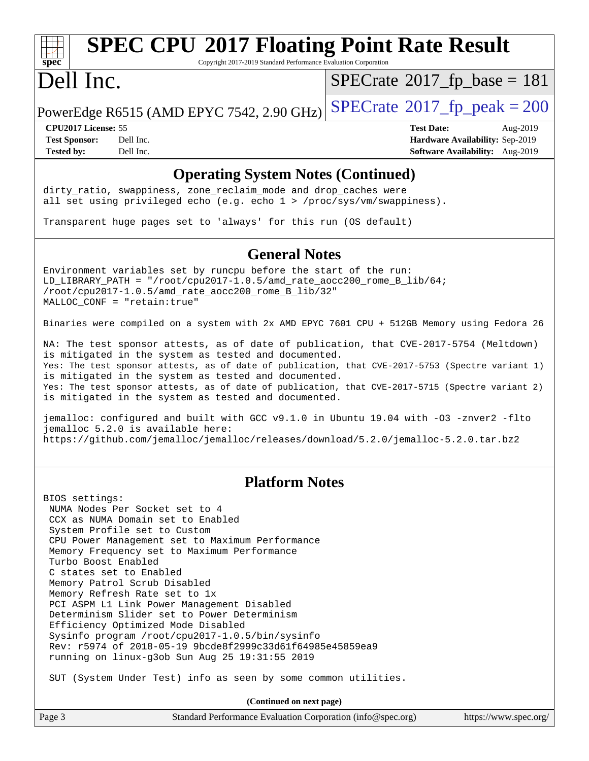## **[SPEC CPU](http://www.spec.org/auto/cpu2017/Docs/result-fields.html#SPECCPU2017FloatingPointRateResult)[2017 Floating Point Rate Result](http://www.spec.org/auto/cpu2017/Docs/result-fields.html#SPECCPU2017FloatingPointRateResult)**

Copyright 2017-2019 Standard Performance Evaluation Corporation

### Dell Inc.

 $SPECTate@2017_fp\_base = 181$ 

PowerEdge R6515 (AMD EPYC 7542, 2.90 GHz)  $\text{SPECrate}^{\circ}2017$  $\text{SPECrate}^{\circ}2017$  $\text{SPECrate}^{\circ}2017$  fp\_peak = 200

**[Tested by:](http://www.spec.org/auto/cpu2017/Docs/result-fields.html#Testedby)** Dell Inc. **[Software Availability:](http://www.spec.org/auto/cpu2017/Docs/result-fields.html#SoftwareAvailability)** Aug-2019

**[CPU2017 License:](http://www.spec.org/auto/cpu2017/Docs/result-fields.html#CPU2017License)** 55 **[Test Date:](http://www.spec.org/auto/cpu2017/Docs/result-fields.html#TestDate)** Aug-2019 **[Test Sponsor:](http://www.spec.org/auto/cpu2017/Docs/result-fields.html#TestSponsor)** Dell Inc. **[Hardware Availability:](http://www.spec.org/auto/cpu2017/Docs/result-fields.html#HardwareAvailability)** Sep-2019

#### **[Operating System Notes \(Continued\)](http://www.spec.org/auto/cpu2017/Docs/result-fields.html#OperatingSystemNotes)**

dirty\_ratio, swappiness, zone\_reclaim\_mode and drop caches were all set using privileged echo (e.g. echo 1 > /proc/sys/vm/swappiness).

Transparent huge pages set to 'always' for this run (OS default)

#### **[General Notes](http://www.spec.org/auto/cpu2017/Docs/result-fields.html#GeneralNotes)**

Environment variables set by runcpu before the start of the run: LD\_LIBRARY\_PATH = "/root/cpu2017-1.0.5/amd\_rate\_aocc200\_rome\_B\_lib/64; /root/cpu2017-1.0.5/amd\_rate\_aocc200\_rome\_B\_lib/32" MALLOC\_CONF = "retain:true"

Binaries were compiled on a system with 2x AMD EPYC 7601 CPU + 512GB Memory using Fedora 26

NA: The test sponsor attests, as of date of publication, that CVE-2017-5754 (Meltdown) is mitigated in the system as tested and documented. Yes: The test sponsor attests, as of date of publication, that CVE-2017-5753 (Spectre variant 1) is mitigated in the system as tested and documented. Yes: The test sponsor attests, as of date of publication, that CVE-2017-5715 (Spectre variant 2) is mitigated in the system as tested and documented.

jemalloc: configured and built with GCC v9.1.0 in Ubuntu 19.04 with -O3 -znver2 -flto jemalloc 5.2.0 is available here: <https://github.com/jemalloc/jemalloc/releases/download/5.2.0/jemalloc-5.2.0.tar.bz2>

#### **[Platform Notes](http://www.spec.org/auto/cpu2017/Docs/result-fields.html#PlatformNotes)**

BIOS settings: NUMA Nodes Per Socket set to 4 CCX as NUMA Domain set to Enabled System Profile set to Custom CPU Power Management set to Maximum Performance Memory Frequency set to Maximum Performance Turbo Boost Enabled C states set to Enabled Memory Patrol Scrub Disabled Memory Refresh Rate set to 1x PCI ASPM L1 Link Power Management Disabled Determinism Slider set to Power Determinism Efficiency Optimized Mode Disabled Sysinfo program /root/cpu2017-1.0.5/bin/sysinfo Rev: r5974 of 2018-05-19 9bcde8f2999c33d61f64985e45859ea9 running on linux-g3ob Sun Aug 25 19:31:55 2019

SUT (System Under Test) info as seen by some common utilities.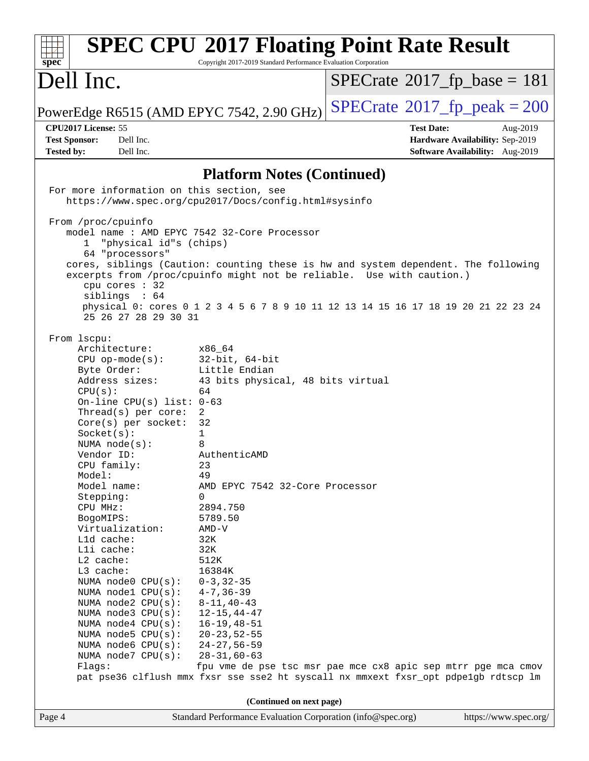| <b>SPEC CPU®2017 Floating Point Rate Result</b><br>spec<br>Copyright 2017-2019 Standard Performance Evaluation Corporation |                                                             |                                                                                     |  |
|----------------------------------------------------------------------------------------------------------------------------|-------------------------------------------------------------|-------------------------------------------------------------------------------------|--|
| Dell Inc.                                                                                                                  |                                                             | $SPECrate^{\circ}2017$ fp base = 181                                                |  |
| PowerEdge R6515 (AMD EPYC 7542, 2.90 GHz)                                                                                  |                                                             | $SPECTate@2017_fp\_peak = 200$                                                      |  |
| CPU2017 License: 55                                                                                                        |                                                             | <b>Test Date:</b><br>Aug-2019                                                       |  |
| <b>Test Sponsor:</b><br>Dell Inc.                                                                                          |                                                             | Hardware Availability: Sep-2019                                                     |  |
| <b>Tested by:</b><br>Dell Inc.                                                                                             |                                                             | Software Availability: Aug-2019                                                     |  |
|                                                                                                                            | <b>Platform Notes (Continued)</b>                           |                                                                                     |  |
| For more information on this section, see                                                                                  |                                                             |                                                                                     |  |
|                                                                                                                            | https://www.spec.org/cpu2017/Docs/config.html#sysinfo       |                                                                                     |  |
| From /proc/cpuinfo                                                                                                         |                                                             |                                                                                     |  |
| model name : AMD EPYC 7542 32-Core Processor<br>"physical id"s (chips)<br>$\mathbf{1}$                                     |                                                             |                                                                                     |  |
| 64 "processors"                                                                                                            |                                                             |                                                                                     |  |
|                                                                                                                            |                                                             | cores, siblings (Caution: counting these is hw and system dependent. The following  |  |
| cpu cores : 32<br>siblings : 64                                                                                            |                                                             | excerpts from /proc/cpuinfo might not be reliable. Use with caution.)               |  |
| 25 26 27 28 29 30 31                                                                                                       |                                                             | physical 0: cores 0 1 2 3 4 5 6 7 8 9 10 11 12 13 14 15 16 17 18 19 20 21 22 23 24  |  |
| From lscpu:                                                                                                                |                                                             |                                                                                     |  |
| Architecture:                                                                                                              | x86 64                                                      |                                                                                     |  |
| $CPU$ op-mode( $s$ ):                                                                                                      | $32$ -bit, $64$ -bit                                        |                                                                                     |  |
| Byte Order:                                                                                                                | Little Endian                                               |                                                                                     |  |
| Address sizes:<br>CPU(s):                                                                                                  | 43 bits physical, 48 bits virtual<br>64                     |                                                                                     |  |
| On-line CPU(s) list: $0-63$                                                                                                |                                                             |                                                                                     |  |
| Thread(s) per core:                                                                                                        | $\overline{2}$                                              |                                                                                     |  |
| Core(s) per socket:                                                                                                        | 32                                                          |                                                                                     |  |
| Socket(s):                                                                                                                 | 1                                                           |                                                                                     |  |
| NUMA $node(s):$<br>Vendor ID:                                                                                              | 8<br>AuthenticAMD                                           |                                                                                     |  |
| CPU family:                                                                                                                | 23                                                          |                                                                                     |  |
| Model:                                                                                                                     | 49                                                          |                                                                                     |  |
| Model name:                                                                                                                | AMD EPYC 7542 32-Core Processor                             |                                                                                     |  |
| Stepping:                                                                                                                  | 0                                                           |                                                                                     |  |
| CPU MHz:                                                                                                                   | 2894.750                                                    |                                                                                     |  |
| BogoMIPS:<br>Virtualization:                                                                                               | 5789.50<br>AMD-V                                            |                                                                                     |  |
| L1d cache:                                                                                                                 | 32K                                                         |                                                                                     |  |
| Lli cache:                                                                                                                 | 32K                                                         |                                                                                     |  |
| L2 cache:                                                                                                                  | 512K                                                        |                                                                                     |  |
| L3 cache:                                                                                                                  | 16384K                                                      |                                                                                     |  |
| NUMA node0 CPU(s):                                                                                                         | $0 - 3, 32 - 35$<br>$4 - 7, 36 - 39$                        |                                                                                     |  |
| NUMA nodel CPU(s):<br>NUMA node2 CPU(s):                                                                                   | $8 - 11, 40 - 43$                                           |                                                                                     |  |
| NUMA node3 CPU(s):                                                                                                         | $12 - 15, 44 - 47$                                          |                                                                                     |  |
| NUMA $node4$ $CPU(s):$                                                                                                     | $16 - 19, 48 - 51$                                          |                                                                                     |  |
| NUMA node5 CPU(s):                                                                                                         | $20 - 23, 52 - 55$                                          |                                                                                     |  |
| NUMA node6 CPU(s):                                                                                                         | $24 - 27, 56 - 59$                                          |                                                                                     |  |
| NUMA node7 CPU(s):<br>Flags:                                                                                               | $28 - 31, 60 - 63$                                          | fpu vme de pse tsc msr pae mce cx8 apic sep mtrr pge mca cmov                       |  |
|                                                                                                                            |                                                             | pat pse36 clflush mmx fxsr sse sse2 ht syscall nx mmxext fxsr_opt pdpelgb rdtscp lm |  |
| (Continued on next page)                                                                                                   |                                                             |                                                                                     |  |
| Page 4                                                                                                                     | Standard Performance Evaluation Corporation (info@spec.org) | https://www.spec.org/                                                               |  |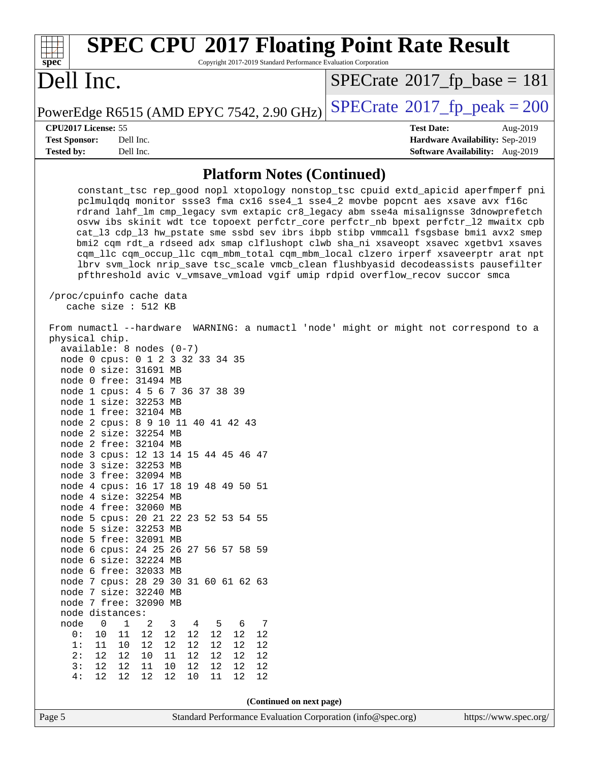| <b>SPEC CPU®2017 Floating Point Rate Result</b><br>Copyright 2017-2019 Standard Performance Evaluation Corporation<br>spec <sup>®</sup>                                                                                                                                                                                                                                                                                                                                                                                                                                                                                                                                                                                                                                                                                                                                                                                                                                                                                                                                                                                                                                                                                                |                                                                  |  |
|----------------------------------------------------------------------------------------------------------------------------------------------------------------------------------------------------------------------------------------------------------------------------------------------------------------------------------------------------------------------------------------------------------------------------------------------------------------------------------------------------------------------------------------------------------------------------------------------------------------------------------------------------------------------------------------------------------------------------------------------------------------------------------------------------------------------------------------------------------------------------------------------------------------------------------------------------------------------------------------------------------------------------------------------------------------------------------------------------------------------------------------------------------------------------------------------------------------------------------------|------------------------------------------------------------------|--|
| Dell Inc.                                                                                                                                                                                                                                                                                                                                                                                                                                                                                                                                                                                                                                                                                                                                                                                                                                                                                                                                                                                                                                                                                                                                                                                                                              | $SPECrate$ <sup>®</sup> 2017_fp_base = 181                       |  |
| PowerEdge R6515 (AMD EPYC 7542, 2.90 GHz)                                                                                                                                                                                                                                                                                                                                                                                                                                                                                                                                                                                                                                                                                                                                                                                                                                                                                                                                                                                                                                                                                                                                                                                              | $SPECTate$ <sup>®</sup> 2017_fp_peak = 200                       |  |
| CPU2017 License: 55<br><b>Test Sponsor:</b><br>Dell Inc.                                                                                                                                                                                                                                                                                                                                                                                                                                                                                                                                                                                                                                                                                                                                                                                                                                                                                                                                                                                                                                                                                                                                                                               | <b>Test Date:</b><br>Aug-2019<br>Hardware Availability: Sep-2019 |  |
| <b>Tested by:</b><br>Dell Inc.                                                                                                                                                                                                                                                                                                                                                                                                                                                                                                                                                                                                                                                                                                                                                                                                                                                                                                                                                                                                                                                                                                                                                                                                         | Software Availability: Aug-2019                                  |  |
| <b>Platform Notes (Continued)</b>                                                                                                                                                                                                                                                                                                                                                                                                                                                                                                                                                                                                                                                                                                                                                                                                                                                                                                                                                                                                                                                                                                                                                                                                      |                                                                  |  |
| constant_tsc rep_good nopl xtopology nonstop_tsc cpuid extd_apicid aperfmperf pni<br>pclmulqdq monitor ssse3 fma cx16 sse4_1 sse4_2 movbe popcnt aes xsave avx f16c<br>rdrand lahf_lm cmp_legacy svm extapic cr8_legacy abm sse4a misalignsse 3dnowprefetch<br>osvw ibs skinit wdt tce topoext perfctr_core perfctr_nb bpext perfctr_12 mwaitx cpb<br>cat_13 cdp_13 hw_pstate sme ssbd sev ibrs ibpb stibp vmmcall fsgsbase bmil avx2 smep<br>bmi2 cqm rdt_a rdseed adx smap clflushopt clwb sha_ni xsaveopt xsavec xgetbvl xsaves<br>cqm_llc cqm_occup_llc cqm_mbm_total cqm_mbm_local clzero irperf xsaveerptr arat npt<br>lbrv svm_lock nrip_save tsc_scale vmcb_clean flushbyasid decodeassists pausefilter<br>pfthreshold avic v_vmsave_vmload vgif umip rdpid overflow_recov succor smca<br>/proc/cpuinfo cache data                                                                                                                                                                                                                                                                                                                                                                                                             |                                                                  |  |
| cache size : 512 KB<br>From numactl --hardware WARNING: a numactl 'node' might or might not correspond to a<br>physical chip.<br>$available: 8 nodes (0-7)$<br>node 0 cpus: 0 1 2 3 32 33 34 35<br>node 0 size: 31691 MB<br>node 0 free: 31494 MB<br>node 1 cpus: 4 5 6 7 36 37 38 39<br>node 1 size: 32253 MB<br>node 1 free: 32104 MB<br>node 2 cpus: 8 9 10 11 40 41 42 43<br>node 2 size: 32254 MB<br>node 2 free: 32104 MB<br>node 3 cpus: 12 13 14 15 44 45 46 47<br>node 3 size: 32253 MB<br>node 3 free: 32094 MB<br>node 4 cpus: 16 17 18 19 48 49 50 51<br>node 4 size: 32254 MB<br>node 4 free: 32060 MB<br>node 5 cpus: 20 21 22 23 52 53 54 55<br>node 5 size: 32253 MB<br>node 5 free: 32091 MB<br>node 6 cpus: 24 25 26 27 56 57 58 59<br>node 6 size: 32224 MB<br>node 6 free: 32033 MB<br>node 7 cpus: 28 29 30 31 60 61 62 63<br>node 7 size: 32240 MB<br>node 7 free: 32090 MB<br>node distances:<br>node<br>$\mathbf 0$<br>$\mathbf 1$<br>2<br>3<br>$\overline{4}$<br>5<br>6<br>7<br>$12\,$<br>$12$<br>0 :<br>10<br>11<br>12<br>12<br>12<br>12<br>12<br>1:<br>12<br>12<br>12<br>12<br>11<br>10<br>12<br>2:<br>12<br>$10$<br>12<br>12<br>12<br>11<br>12<br>12<br>12<br>12<br>11<br>12<br>12<br>12<br>12<br>3:<br>10 |                                                                  |  |
| (Continued on next page)                                                                                                                                                                                                                                                                                                                                                                                                                                                                                                                                                                                                                                                                                                                                                                                                                                                                                                                                                                                                                                                                                                                                                                                                               |                                                                  |  |
| Page 5<br>Standard Performance Evaluation Corporation (info@spec.org)                                                                                                                                                                                                                                                                                                                                                                                                                                                                                                                                                                                                                                                                                                                                                                                                                                                                                                                                                                                                                                                                                                                                                                  | https://www.spec.org/                                            |  |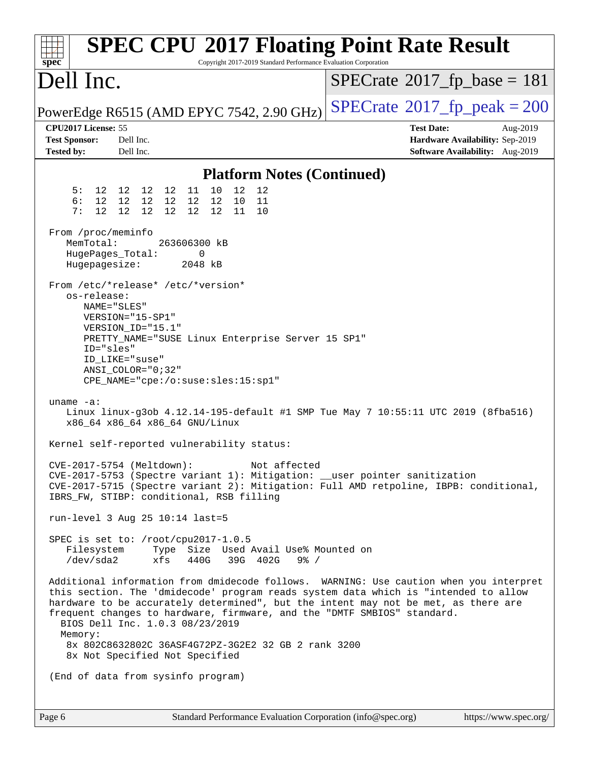| <b>SPEC CPU®2017 Floating Point Rate Result</b><br>Copyright 2017-2019 Standard Performance Evaluation Corporation<br>$spec^*$ |                                                                                                                                                                                                                                                                                                                                                                                  |                                                                                                     |  |
|--------------------------------------------------------------------------------------------------------------------------------|----------------------------------------------------------------------------------------------------------------------------------------------------------------------------------------------------------------------------------------------------------------------------------------------------------------------------------------------------------------------------------|-----------------------------------------------------------------------------------------------------|--|
| Dell Inc.                                                                                                                      |                                                                                                                                                                                                                                                                                                                                                                                  | $SPECrate^{\circ}2017$ _fp_base = 181                                                               |  |
|                                                                                                                                | PowerEdge R6515 (AMD EPYC 7542, 2.90 GHz)                                                                                                                                                                                                                                                                                                                                        | $SPECTate^{\circ}2017$ _fp_peak = 200                                                               |  |
| CPU2017 License: 55<br><b>Test Sponsor:</b><br><b>Tested by:</b>                                                               | Dell Inc.<br>Dell Inc.                                                                                                                                                                                                                                                                                                                                                           | <b>Test Date:</b><br>Aug-2019<br>Hardware Availability: Sep-2019<br>Software Availability: Aug-2019 |  |
|                                                                                                                                | <b>Platform Notes (Continued)</b>                                                                                                                                                                                                                                                                                                                                                |                                                                                                     |  |
| 5 :<br>6:<br>12<br>7 :                                                                                                         | 10<br>12<br>12 12 12 12 11<br>12<br>12 12 12 12 12 12<br>10<br>11<br>12 <sup>°</sup><br>12<br>12<br>12<br>12<br>11<br>10                                                                                                                                                                                                                                                         |                                                                                                     |  |
| From /proc/meminfo<br>MemTotal:<br>HugePages_Total:<br>Hugepagesize:                                                           | 263606300 kB<br>0<br>2048 kB                                                                                                                                                                                                                                                                                                                                                     |                                                                                                     |  |
| os-release:<br>NAME="SLES"<br>ID="sles"                                                                                        | From /etc/*release* /etc/*version*<br>VERSION="15-SP1"<br>VERSION ID="15.1"<br>PRETTY_NAME="SUSE Linux Enterprise Server 15 SP1"<br>ID_LIKE="suse"<br>ANSI COLOR="0;32"<br>CPE_NAME="cpe:/o:suse:sles:15:sp1"                                                                                                                                                                    |                                                                                                     |  |
| uname $-a$ :                                                                                                                   | x86_64 x86_64 x86_64 GNU/Linux                                                                                                                                                                                                                                                                                                                                                   | Linux linux-g3ob 4.12.14-195-default #1 SMP Tue May 7 10:55:11 UTC 2019 (8fba516)                   |  |
|                                                                                                                                | Kernel self-reported vulnerability status:                                                                                                                                                                                                                                                                                                                                       |                                                                                                     |  |
|                                                                                                                                | CVE-2017-5754 (Meltdown):<br>Not affected<br>CVE-2017-5753 (Spectre variant 1): Mitigation: __user pointer sanitization<br>IBRS_FW, STIBP: conditional, RSB filling                                                                                                                                                                                                              | CVE-2017-5715 (Spectre variant 2): Mitigation: Full AMD retpoline, IBPB: conditional,               |  |
|                                                                                                                                | run-level 3 Aug 25 10:14 last=5                                                                                                                                                                                                                                                                                                                                                  |                                                                                                     |  |
| Filesystem<br>/dev/sda2                                                                                                        | SPEC is set to: /root/cpu2017-1.0.5<br>Type Size Used Avail Use% Mounted on<br>xfs<br>440G<br>39G 402G<br>$9\frac{6}{9}$ /                                                                                                                                                                                                                                                       |                                                                                                     |  |
| Memory:                                                                                                                        | this section. The 'dmidecode' program reads system data which is "intended to allow<br>hardware to be accurately determined", but the intent may not be met, as there are<br>frequent changes to hardware, firmware, and the "DMTF SMBIOS" standard.<br>BIOS Dell Inc. 1.0.3 08/23/2019<br>8x 802C8632802C 36ASF4G72PZ-3G2E2 32 GB 2 rank 3200<br>8x Not Specified Not Specified | Additional information from dmidecode follows. WARNING: Use caution when you interpret              |  |
|                                                                                                                                | (End of data from sysinfo program)                                                                                                                                                                                                                                                                                                                                               |                                                                                                     |  |
| Page 6                                                                                                                         | Standard Performance Evaluation Corporation (info@spec.org)                                                                                                                                                                                                                                                                                                                      | https://www.spec.org/                                                                               |  |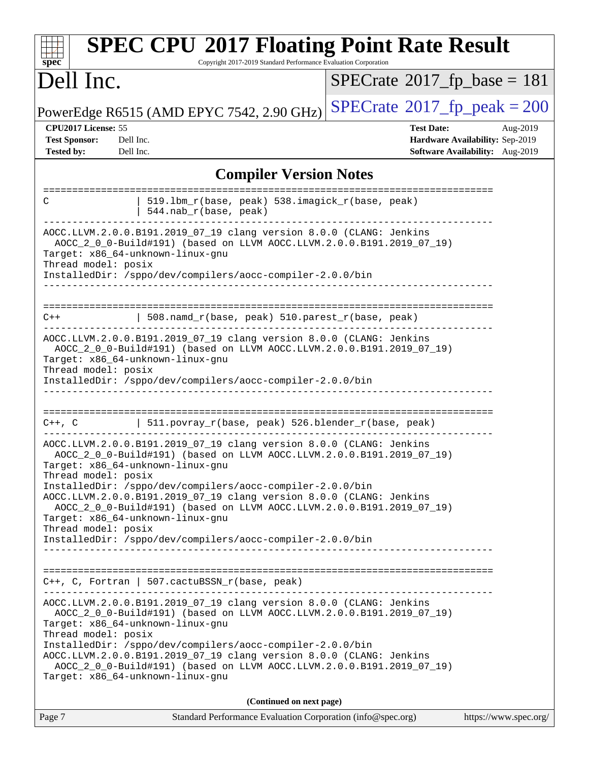| <b>SPEC CPU®2017 Floating Point Rate Result</b><br>Copyright 2017-2019 Standard Performance Evaluation Corporation<br>spec <sup>®</sup>                                                                                                                                                                                                                                                                                                                                                                                                      |                                                                                                     |  |  |
|----------------------------------------------------------------------------------------------------------------------------------------------------------------------------------------------------------------------------------------------------------------------------------------------------------------------------------------------------------------------------------------------------------------------------------------------------------------------------------------------------------------------------------------------|-----------------------------------------------------------------------------------------------------|--|--|
| Dell Inc.                                                                                                                                                                                                                                                                                                                                                                                                                                                                                                                                    | $SPECrate^{\circ}2017$ fp base = 181                                                                |  |  |
| PowerEdge R6515 (AMD EPYC 7542, 2.90 GHz)                                                                                                                                                                                                                                                                                                                                                                                                                                                                                                    | $SPECTate^{\circ}2017$ _fp_peak = 200                                                               |  |  |
| CPU2017 License: 55<br><b>Test Sponsor:</b><br>Dell Inc.<br><b>Tested by:</b><br>Dell Inc.                                                                                                                                                                                                                                                                                                                                                                                                                                                   | <b>Test Date:</b><br>Aug-2019<br>Hardware Availability: Sep-2019<br>Software Availability: Aug-2019 |  |  |
| <b>Compiler Version Notes</b>                                                                                                                                                                                                                                                                                                                                                                                                                                                                                                                |                                                                                                     |  |  |
| 519.1bm_r(base, peak) 538.imagick_r(base, peak)<br>C<br>544.nab_r(base, peak)                                                                                                                                                                                                                                                                                                                                                                                                                                                                |                                                                                                     |  |  |
| AOCC.LLVM.2.0.0.B191.2019_07_19 clang version 8.0.0 (CLANG: Jenkins<br>AOCC_2_0_0-Build#191) (based on LLVM AOCC.LLVM.2.0.0.B191.2019_07_19)<br>Target: x86_64-unknown-linux-gnu<br>Thread model: posix<br>InstalledDir: /sppo/dev/compilers/aocc-compiler-2.0.0/bin                                                                                                                                                                                                                                                                         |                                                                                                     |  |  |
| 508.namd_r(base, peak) 510.parest_r(base, peak)<br>$C++$                                                                                                                                                                                                                                                                                                                                                                                                                                                                                     |                                                                                                     |  |  |
| AOCC.LLVM.2.0.0.B191.2019_07_19 clang version 8.0.0 (CLANG: Jenkins<br>AOCC_2_0_0-Build#191) (based on LLVM AOCC.LLVM.2.0.0.B191.2019_07_19)<br>Target: x86_64-unknown-linux-gnu<br>Thread model: posix<br>InstalledDir: /sppo/dev/compilers/aocc-compiler-2.0.0/bin                                                                                                                                                                                                                                                                         |                                                                                                     |  |  |
| ==================<br>  511.povray_r(base, peak) 526.blender_r(base, peak)<br>$C++$ , $C$                                                                                                                                                                                                                                                                                                                                                                                                                                                    |                                                                                                     |  |  |
| AOCC.LLVM.2.0.0.B191.2019_07_19 clang version 8.0.0 (CLANG: Jenkins<br>AOCC_2_0_0-Build#191) (based on LLVM AOCC.LLVM.2.0.0.B191.2019_07_19)<br>Target: x86_64-unknown-linux-gnu<br>Thread model: posix<br>InstalledDir: /sppo/dev/compilers/aocc-compiler-2.0.0/bin<br>AOCC.LLVM.2.0.0.B191.2019_07_19 clang version 8.0.0 (CLANG: Jenkins<br>AOCC 2 0 0-Build#191) (based on LLVM AOCC.LLVM.2.0.0.B191.2019 07 19)<br>Target: x86 64-unknown-linux-qnu<br>Thread model: posix<br>InstalledDir: /sppo/dev/compilers/aocc-compiler-2.0.0/bin |                                                                                                     |  |  |
|                                                                                                                                                                                                                                                                                                                                                                                                                                                                                                                                              |                                                                                                     |  |  |
| $C++$ , C, Fortran   507.cactuBSSN_r(base, peak)                                                                                                                                                                                                                                                                                                                                                                                                                                                                                             |                                                                                                     |  |  |
| AOCC.LLVM.2.0.0.B191.2019_07_19 clang version 8.0.0 (CLANG: Jenkins<br>AOCC_2_0_0-Build#191) (based on LLVM AOCC.LLVM.2.0.0.B191.2019_07_19)<br>Target: x86_64-unknown-linux-gnu<br>Thread model: posix<br>InstalledDir: /sppo/dev/compilers/aocc-compiler-2.0.0/bin<br>AOCC.LLVM.2.0.0.B191.2019_07_19 clang version 8.0.0 (CLANG: Jenkins<br>AOCC_2_0_0-Build#191) (based on LLVM AOCC.LLVM.2.0.0.B191.2019_07_19)<br>Target: x86_64-unknown-linux-gnu                                                                                     |                                                                                                     |  |  |
| (Continued on next page)                                                                                                                                                                                                                                                                                                                                                                                                                                                                                                                     |                                                                                                     |  |  |
| Standard Performance Evaluation Corporation (info@spec.org)<br>Page 7                                                                                                                                                                                                                                                                                                                                                                                                                                                                        | https://www.spec.org/                                                                               |  |  |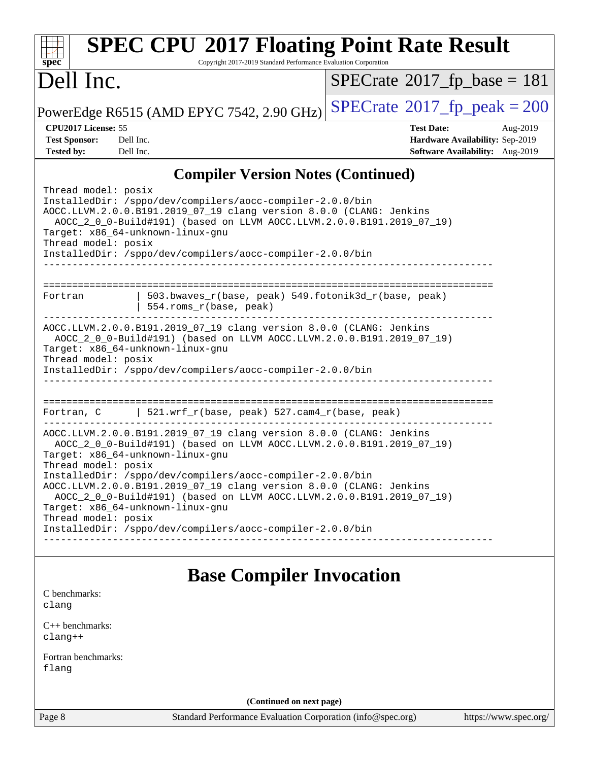| <b>SPEC CPU®2017 Floating Point Rate Result</b><br>Copyright 2017-2019 Standard Performance Evaluation Corporation<br>$sp\overline{ec}$                                                                                                                                                                                                                  |                                                                                                     |  |
|----------------------------------------------------------------------------------------------------------------------------------------------------------------------------------------------------------------------------------------------------------------------------------------------------------------------------------------------------------|-----------------------------------------------------------------------------------------------------|--|
| Dell Inc.                                                                                                                                                                                                                                                                                                                                                | $SPECrate^{\circ}2017$ fp base = 181                                                                |  |
| PowerEdge R6515 (AMD EPYC 7542, 2.90 GHz)                                                                                                                                                                                                                                                                                                                | $SPECTate$ <sup>®</sup> 2017_fp_peak = 200                                                          |  |
| CPU2017 License: 55<br><b>Test Sponsor:</b><br>Dell Inc.<br><b>Tested by:</b><br>Dell Inc.                                                                                                                                                                                                                                                               | <b>Test Date:</b><br>Aug-2019<br>Hardware Availability: Sep-2019<br>Software Availability: Aug-2019 |  |
| <b>Compiler Version Notes (Continued)</b>                                                                                                                                                                                                                                                                                                                |                                                                                                     |  |
| Thread model: posix<br>InstalledDir: /sppo/dev/compilers/aocc-compiler-2.0.0/bin<br>AOCC.LLVM.2.0.0.B191.2019_07_19 clang version 8.0.0 (CLANG: Jenkins<br>AOCC_2_0_0-Build#191) (based on LLVM AOCC.LLVM.2.0.0.B191.2019_07_19)<br>Target: x86_64-unknown-linux-gnu<br>Thread model: posix<br>InstalledDir: /sppo/dev/compilers/aocc-compiler-2.0.0/bin |                                                                                                     |  |
| 503.bwaves_r(base, peak) 549.fotonik3d_r(base, peak)<br>Fortran<br>554.roms_r(base, peak)                                                                                                                                                                                                                                                                |                                                                                                     |  |
| AOCC.LLVM.2.0.0.B191.2019_07_19 clang version 8.0.0 (CLANG: Jenkins<br>AOCC_2_0_0-Build#191) (based on LLVM AOCC.LLVM.2.0.0.B191.2019_07_19)<br>Target: x86_64-unknown-linux-gnu<br>Thread model: posix<br>InstalledDir: /sppo/dev/compilers/aocc-compiler-2.0.0/bin                                                                                     |                                                                                                     |  |
| Fortran, C $\vert$ 521.wrf_r(base, peak) 527.cam4_r(base, peak)                                                                                                                                                                                                                                                                                          |                                                                                                     |  |
| AOCC.LLVM.2.0.0.B191.2019_07_19 clang version 8.0.0 (CLANG: Jenkins<br>AOCC_2_0_0-Build#191) (based on LLVM AOCC.LLVM.2.0.0.B191.2019_07_19)<br>Target: x86_64-unknown-linux-gnu                                                                                                                                                                         |                                                                                                     |  |
| Thread model: posix<br>InstalledDir: /sppo/dev/compilers/aocc-compiler-2.0.0/bin<br>AOCC.LLVM.2.0.0.B191.2019_07_19 clang version 8.0.0 (CLANG: Jenkins<br>AOCC_2_0_0-Build#191) (based on LLVM AOCC.LLVM.2.0.0.B191.2019_07_19)<br>Target: x86_64-unknown-linux-gnu                                                                                     |                                                                                                     |  |
| Thread model: posix<br>InstalledDir: /sppo/dev/compilers/aocc-compiler-2.0.0/bin                                                                                                                                                                                                                                                                         |                                                                                                     |  |
| <b>Base Compiler Invocation</b>                                                                                                                                                                                                                                                                                                                          |                                                                                                     |  |
| C benchmarks:<br>clang                                                                                                                                                                                                                                                                                                                                   |                                                                                                     |  |
| C++ benchmarks:<br>$clang++$                                                                                                                                                                                                                                                                                                                             |                                                                                                     |  |
| Fortran benchmarks:<br>flang                                                                                                                                                                                                                                                                                                                             |                                                                                                     |  |
| (Continued on next page)                                                                                                                                                                                                                                                                                                                                 |                                                                                                     |  |
| Page 8<br>Standard Performance Evaluation Corporation (info@spec.org)                                                                                                                                                                                                                                                                                    | https://www.spec.org/                                                                               |  |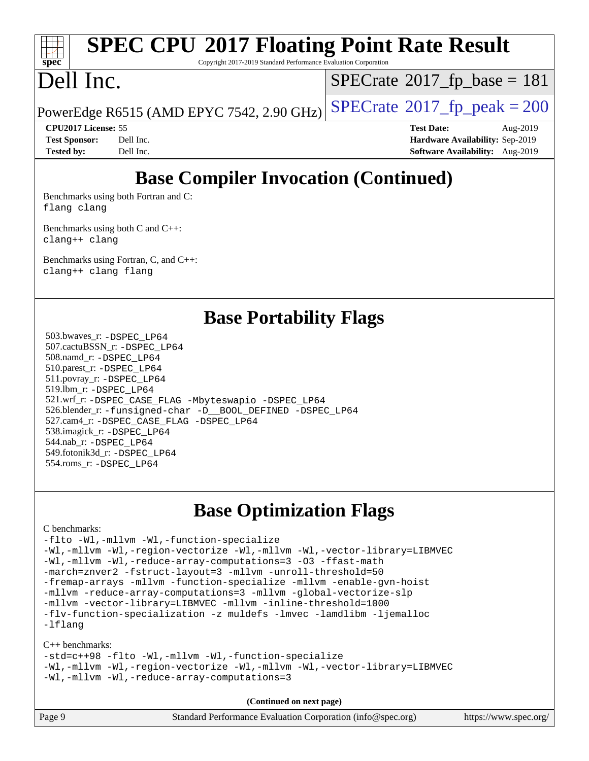## **[SPEC CPU](http://www.spec.org/auto/cpu2017/Docs/result-fields.html#SPECCPU2017FloatingPointRateResult)[2017 Floating Point Rate Result](http://www.spec.org/auto/cpu2017/Docs/result-fields.html#SPECCPU2017FloatingPointRateResult)**

Copyright 2017-2019 Standard Performance Evaluation Corporation

### Dell Inc.

 $SPECTate@2017_fp\_base = 181$ 

PowerEdge R6515 (AMD EPYC 7542, 2.90 GHz)  $\left|$  [SPECrate](http://www.spec.org/auto/cpu2017/Docs/result-fields.html#SPECrate2017fppeak)®[2017\\_fp\\_peak = 2](http://www.spec.org/auto/cpu2017/Docs/result-fields.html#SPECrate2017fppeak)00

**[CPU2017 License:](http://www.spec.org/auto/cpu2017/Docs/result-fields.html#CPU2017License)** 55 **[Test Date:](http://www.spec.org/auto/cpu2017/Docs/result-fields.html#TestDate)** Aug-2019 **[Test Sponsor:](http://www.spec.org/auto/cpu2017/Docs/result-fields.html#TestSponsor)** Dell Inc. **[Hardware Availability:](http://www.spec.org/auto/cpu2017/Docs/result-fields.html#HardwareAvailability)** Sep-2019 **[Tested by:](http://www.spec.org/auto/cpu2017/Docs/result-fields.html#Testedby)** Dell Inc. **[Software Availability:](http://www.spec.org/auto/cpu2017/Docs/result-fields.html#SoftwareAvailability)** Aug-2019

### **[Base Compiler Invocation \(Continued\)](http://www.spec.org/auto/cpu2017/Docs/result-fields.html#BaseCompilerInvocation)**

[Benchmarks using both Fortran and C](http://www.spec.org/auto/cpu2017/Docs/result-fields.html#BenchmarksusingbothFortranandC): [flang](http://www.spec.org/cpu2017/results/res2019q3/cpu2017-20190831-17280.flags.html#user_CC_FCbase_flang) [clang](http://www.spec.org/cpu2017/results/res2019q3/cpu2017-20190831-17280.flags.html#user_CC_FCbase_clang-c)

[Benchmarks using both C and C++](http://www.spec.org/auto/cpu2017/Docs/result-fields.html#BenchmarksusingbothCandCXX): [clang++](http://www.spec.org/cpu2017/results/res2019q3/cpu2017-20190831-17280.flags.html#user_CC_CXXbase_clang-cpp) [clang](http://www.spec.org/cpu2017/results/res2019q3/cpu2017-20190831-17280.flags.html#user_CC_CXXbase_clang-c)

[Benchmarks using Fortran, C, and C++:](http://www.spec.org/auto/cpu2017/Docs/result-fields.html#BenchmarksusingFortranCandCXX) [clang++](http://www.spec.org/cpu2017/results/res2019q3/cpu2017-20190831-17280.flags.html#user_CC_CXX_FCbase_clang-cpp) [clang](http://www.spec.org/cpu2017/results/res2019q3/cpu2017-20190831-17280.flags.html#user_CC_CXX_FCbase_clang-c) [flang](http://www.spec.org/cpu2017/results/res2019q3/cpu2017-20190831-17280.flags.html#user_CC_CXX_FCbase_flang)

#### **[Base Portability Flags](http://www.spec.org/auto/cpu2017/Docs/result-fields.html#BasePortabilityFlags)**

 503.bwaves\_r: [-DSPEC\\_LP64](http://www.spec.org/cpu2017/results/res2019q3/cpu2017-20190831-17280.flags.html#suite_baseEXTRA_PORTABILITY503_bwaves_r_DSPEC_LP64) 507.cactuBSSN\_r: [-DSPEC\\_LP64](http://www.spec.org/cpu2017/results/res2019q3/cpu2017-20190831-17280.flags.html#suite_baseEXTRA_PORTABILITY507_cactuBSSN_r_DSPEC_LP64) 508.namd\_r: [-DSPEC\\_LP64](http://www.spec.org/cpu2017/results/res2019q3/cpu2017-20190831-17280.flags.html#suite_baseEXTRA_PORTABILITY508_namd_r_DSPEC_LP64) 510.parest\_r: [-DSPEC\\_LP64](http://www.spec.org/cpu2017/results/res2019q3/cpu2017-20190831-17280.flags.html#suite_baseEXTRA_PORTABILITY510_parest_r_DSPEC_LP64) 511.povray\_r: [-DSPEC\\_LP64](http://www.spec.org/cpu2017/results/res2019q3/cpu2017-20190831-17280.flags.html#suite_baseEXTRA_PORTABILITY511_povray_r_DSPEC_LP64) 519.lbm\_r: [-DSPEC\\_LP64](http://www.spec.org/cpu2017/results/res2019q3/cpu2017-20190831-17280.flags.html#suite_baseEXTRA_PORTABILITY519_lbm_r_DSPEC_LP64) 521.wrf\_r: [-DSPEC\\_CASE\\_FLAG](http://www.spec.org/cpu2017/results/res2019q3/cpu2017-20190831-17280.flags.html#b521.wrf_r_baseCPORTABILITY_DSPEC_CASE_FLAG) [-Mbyteswapio](http://www.spec.org/cpu2017/results/res2019q3/cpu2017-20190831-17280.flags.html#user_baseFPORTABILITY521_wrf_r_F-mbyteswapio_543c39ce38db59bcbc3b888917ef58c313007ae1c27520b689e012995ae261114051d1d5efcb4182d175ce22a6a15532d3a9999882dd2c360e6d853f41da6883) [-DSPEC\\_LP64](http://www.spec.org/cpu2017/results/res2019q3/cpu2017-20190831-17280.flags.html#suite_baseEXTRA_PORTABILITY521_wrf_r_DSPEC_LP64) 526.blender\_r: [-funsigned-char](http://www.spec.org/cpu2017/results/res2019q3/cpu2017-20190831-17280.flags.html#user_baseCPORTABILITY526_blender_r_aocc-unsigned-char) [-D\\_\\_BOOL\\_DEFINED](http://www.spec.org/cpu2017/results/res2019q3/cpu2017-20190831-17280.flags.html#b526.blender_r_baseCXXPORTABILITY_D__BOOL_DEFINED) [-DSPEC\\_LP64](http://www.spec.org/cpu2017/results/res2019q3/cpu2017-20190831-17280.flags.html#suite_baseEXTRA_PORTABILITY526_blender_r_DSPEC_LP64) 527.cam4\_r: [-DSPEC\\_CASE\\_FLAG](http://www.spec.org/cpu2017/results/res2019q3/cpu2017-20190831-17280.flags.html#b527.cam4_r_basePORTABILITY_DSPEC_CASE_FLAG) [-DSPEC\\_LP64](http://www.spec.org/cpu2017/results/res2019q3/cpu2017-20190831-17280.flags.html#suite_baseEXTRA_PORTABILITY527_cam4_r_DSPEC_LP64) 538.imagick\_r: [-DSPEC\\_LP64](http://www.spec.org/cpu2017/results/res2019q3/cpu2017-20190831-17280.flags.html#suite_baseEXTRA_PORTABILITY538_imagick_r_DSPEC_LP64) 544.nab\_r: [-DSPEC\\_LP64](http://www.spec.org/cpu2017/results/res2019q3/cpu2017-20190831-17280.flags.html#suite_baseEXTRA_PORTABILITY544_nab_r_DSPEC_LP64) 549.fotonik3d\_r: [-DSPEC\\_LP64](http://www.spec.org/cpu2017/results/res2019q3/cpu2017-20190831-17280.flags.html#suite_baseEXTRA_PORTABILITY549_fotonik3d_r_DSPEC_LP64) 554.roms\_r: [-DSPEC\\_LP64](http://www.spec.org/cpu2017/results/res2019q3/cpu2017-20190831-17280.flags.html#suite_baseEXTRA_PORTABILITY554_roms_r_DSPEC_LP64)

#### **[Base Optimization Flags](http://www.spec.org/auto/cpu2017/Docs/result-fields.html#BaseOptimizationFlags)**

#### [C benchmarks](http://www.spec.org/auto/cpu2017/Docs/result-fields.html#Cbenchmarks):

[-flto](http://www.spec.org/cpu2017/results/res2019q3/cpu2017-20190831-17280.flags.html#user_CCbase_aocc-flto) [-Wl,-mllvm -Wl,-function-specialize](http://www.spec.org/cpu2017/results/res2019q3/cpu2017-20190831-17280.flags.html#user_CCbase_F-function-specialize_7e7e661e57922243ee67c9a1251cb8910e607325179a0ce7f2884e09a6f5d4a5ef0ae4f37e8a2a11c95fc48e931f06dc2b6016f14b511fcb441e048bef1b065a) [-Wl,-mllvm -Wl,-region-vectorize](http://www.spec.org/cpu2017/results/res2019q3/cpu2017-20190831-17280.flags.html#user_CCbase_F-region-vectorize_fb6c6b5aa293c88efc6c7c2b52b20755e943585b1fe8658c35afef78727fff56e1a56891413c30e36b8e2a6f9a71126986319243e80eb6110b78b288f533c52b) [-Wl,-mllvm -Wl,-vector-library=LIBMVEC](http://www.spec.org/cpu2017/results/res2019q3/cpu2017-20190831-17280.flags.html#user_CCbase_F-use-vector-library_0a14b27fae317f283640384a31f7bfcc2bd4c1d0b5cfc618a3a430800c9b20217b00f61303eff223a3251b4f06ffbc9739dc5296db9d1fbb9ad24a3939d86d66) [-Wl,-mllvm -Wl,-reduce-array-computations=3](http://www.spec.org/cpu2017/results/res2019q3/cpu2017-20190831-17280.flags.html#user_CCbase_F-reduce-array-computations_b882aefe7a5dda4e33149f6299762b9a720dace3e498e13756f4c04e5a19edf5315c1f3993de2e61ec41e8c206231f84e05da7040e1bb5d69ba27d10a12507e4) [-O3](http://www.spec.org/cpu2017/results/res2019q3/cpu2017-20190831-17280.flags.html#user_CCbase_F-O3) [-ffast-math](http://www.spec.org/cpu2017/results/res2019q3/cpu2017-20190831-17280.flags.html#user_CCbase_aocc-ffast-math) [-march=znver2](http://www.spec.org/cpu2017/results/res2019q3/cpu2017-20190831-17280.flags.html#user_CCbase_aocc-march_3e2e19cff2eeef60c5d90b059483627c9ea47eca6d66670dbd53f9185f6439e27eb5e104cf773e9e8ab18c8842ce63e461a3e948d0214bd567ef3ade411bf467) [-fstruct-layout=3](http://www.spec.org/cpu2017/results/res2019q3/cpu2017-20190831-17280.flags.html#user_CCbase_F-struct-layout) [-mllvm -unroll-threshold=50](http://www.spec.org/cpu2017/results/res2019q3/cpu2017-20190831-17280.flags.html#user_CCbase_F-unroll-threshold_458874500b2c105d6d5cb4d7a611c40e2b16e9e3d26b355fea72d644c3673b4de4b3932662f0ed3dbec75c491a13da2d2ca81180bd779dc531083ef1e1e549dc) [-fremap-arrays](http://www.spec.org/cpu2017/results/res2019q3/cpu2017-20190831-17280.flags.html#user_CCbase_F-fremap-arrays) [-mllvm -function-specialize](http://www.spec.org/cpu2017/results/res2019q3/cpu2017-20190831-17280.flags.html#user_CCbase_F-function-specialize_233b3bdba86027f1b094368157e481c5bc59f40286dc25bfadc1858dcd5745c24fd30d5f188710db7fea399bcc9f44a80b3ce3aacc70a8870250c3ae5e1f35b8) [-mllvm -enable-gvn-hoist](http://www.spec.org/cpu2017/results/res2019q3/cpu2017-20190831-17280.flags.html#user_CCbase_F-enable-gvn-hoist_e5856354646dd6ca1333a0ad99b817e4cf8932b91b82809fd8fd47ceff7b22a89eba5c98fd3e3fa5200368fd772cec3dd56abc3c8f7b655a71b9f9848dddedd5) [-mllvm -reduce-array-computations=3](http://www.spec.org/cpu2017/results/res2019q3/cpu2017-20190831-17280.flags.html#user_CCbase_F-reduce-array-computations_aceadb8604558b566e0e3a0d7a3c1533923dd1fa0889614e16288028922629a28d5695c24d3b3be4306b1e311c54317dfffe3a2e57fbcaabc737a1798de39145) [-mllvm -global-vectorize-slp](http://www.spec.org/cpu2017/results/res2019q3/cpu2017-20190831-17280.flags.html#user_CCbase_F-global-vectorize-slp_a3935e8627af4ced727033b1ffd4db27f4d541a363d28d82bf4c2925fb3a0fd4115d6e42d13a2829f9e024d6608eb67a85cb49770f2da5c5ac8dbc737afad603) [-mllvm -vector-library=LIBMVEC](http://www.spec.org/cpu2017/results/res2019q3/cpu2017-20190831-17280.flags.html#user_CCbase_F-use-vector-library_e584e20b4f7ec96aa109254b65d8e01d864f3d68580371b9d93ed7c338191d4cfce20c3c864632264effc6bbe4c7c38153d02096a342ee92501c4a53204a7871) [-mllvm -inline-threshold=1000](http://www.spec.org/cpu2017/results/res2019q3/cpu2017-20190831-17280.flags.html#user_CCbase_dragonegg-llvm-inline-threshold_b7832241b0a6397e4ecdbaf0eb7defdc10f885c2a282fa3240fdc99844d543fda39cf8a4a9dccf68cf19b5438ac3b455264f478df15da0f4988afa40d8243bab) [-flv-function-specialization](http://www.spec.org/cpu2017/results/res2019q3/cpu2017-20190831-17280.flags.html#user_CCbase_F-flv-function-specialization) [-z muldefs](http://www.spec.org/cpu2017/results/res2019q3/cpu2017-20190831-17280.flags.html#user_CCbase_aocc-muldefs) [-lmvec](http://www.spec.org/cpu2017/results/res2019q3/cpu2017-20190831-17280.flags.html#user_CCbase_F-lmvec) [-lamdlibm](http://www.spec.org/cpu2017/results/res2019q3/cpu2017-20190831-17280.flags.html#user_CCbase_F-lamdlibm) [-ljemalloc](http://www.spec.org/cpu2017/results/res2019q3/cpu2017-20190831-17280.flags.html#user_CCbase_jemalloc-lib) [-lflang](http://www.spec.org/cpu2017/results/res2019q3/cpu2017-20190831-17280.flags.html#user_CCbase_F-lflang)

#### [C++ benchmarks:](http://www.spec.org/auto/cpu2017/Docs/result-fields.html#CXXbenchmarks)

[-std=c++98](http://www.spec.org/cpu2017/results/res2019q3/cpu2017-20190831-17280.flags.html#user_CXXbase_std-cpp) [-flto](http://www.spec.org/cpu2017/results/res2019q3/cpu2017-20190831-17280.flags.html#user_CXXbase_aocc-flto) [-Wl,-mllvm -Wl,-function-specialize](http://www.spec.org/cpu2017/results/res2019q3/cpu2017-20190831-17280.flags.html#user_CXXbase_F-function-specialize_7e7e661e57922243ee67c9a1251cb8910e607325179a0ce7f2884e09a6f5d4a5ef0ae4f37e8a2a11c95fc48e931f06dc2b6016f14b511fcb441e048bef1b065a) [-Wl,-mllvm -Wl,-region-vectorize](http://www.spec.org/cpu2017/results/res2019q3/cpu2017-20190831-17280.flags.html#user_CXXbase_F-region-vectorize_fb6c6b5aa293c88efc6c7c2b52b20755e943585b1fe8658c35afef78727fff56e1a56891413c30e36b8e2a6f9a71126986319243e80eb6110b78b288f533c52b) [-Wl,-mllvm -Wl,-vector-library=LIBMVEC](http://www.spec.org/cpu2017/results/res2019q3/cpu2017-20190831-17280.flags.html#user_CXXbase_F-use-vector-library_0a14b27fae317f283640384a31f7bfcc2bd4c1d0b5cfc618a3a430800c9b20217b00f61303eff223a3251b4f06ffbc9739dc5296db9d1fbb9ad24a3939d86d66) [-Wl,-mllvm -Wl,-reduce-array-computations=3](http://www.spec.org/cpu2017/results/res2019q3/cpu2017-20190831-17280.flags.html#user_CXXbase_F-reduce-array-computations_b882aefe7a5dda4e33149f6299762b9a720dace3e498e13756f4c04e5a19edf5315c1f3993de2e61ec41e8c206231f84e05da7040e1bb5d69ba27d10a12507e4)

| Page 9 | Standard Performance Evaluation Corporation (info@spec.org) | https://www.spec.org/ |
|--------|-------------------------------------------------------------|-----------------------|
|--------|-------------------------------------------------------------|-----------------------|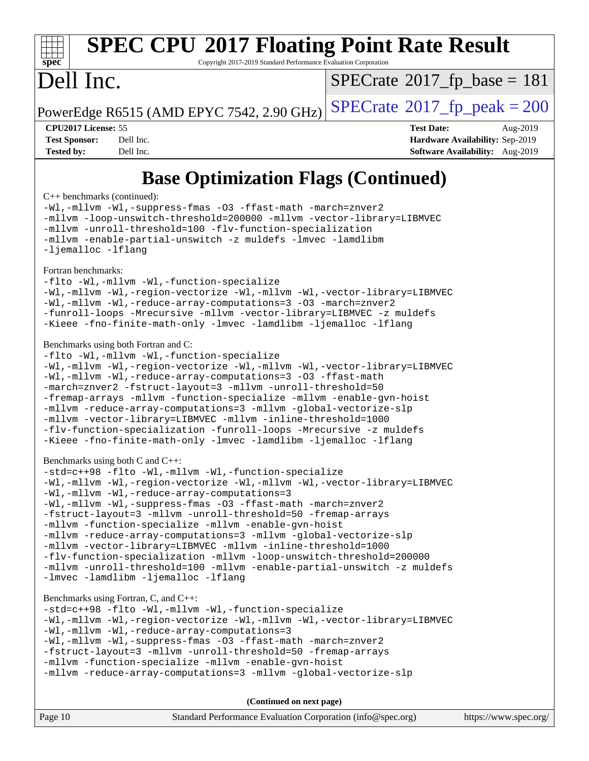## **[SPEC CPU](http://www.spec.org/auto/cpu2017/Docs/result-fields.html#SPECCPU2017FloatingPointRateResult)[2017 Floating Point Rate Result](http://www.spec.org/auto/cpu2017/Docs/result-fields.html#SPECCPU2017FloatingPointRateResult)**

Copyright 2017-2019 Standard Performance Evaluation Corporation

### Dell Inc.

 $SPECTate@2017_fp\_base = 181$ 

PowerEdge R6515 (AMD EPYC 7542, 2.90 GHz)  $\text{SPECrate}^{\circ}2017$  $\text{SPECrate}^{\circ}2017$  $\text{SPECrate}^{\circ}2017$  fp peak = 200

**[CPU2017 License:](http://www.spec.org/auto/cpu2017/Docs/result-fields.html#CPU2017License)** 55 **[Test Date:](http://www.spec.org/auto/cpu2017/Docs/result-fields.html#TestDate)** Aug-2019 **[Test Sponsor:](http://www.spec.org/auto/cpu2017/Docs/result-fields.html#TestSponsor)** Dell Inc. **[Hardware Availability:](http://www.spec.org/auto/cpu2017/Docs/result-fields.html#HardwareAvailability)** Sep-2019 **[Tested by:](http://www.spec.org/auto/cpu2017/Docs/result-fields.html#Testedby)** Dell Inc. **[Software Availability:](http://www.spec.org/auto/cpu2017/Docs/result-fields.html#SoftwareAvailability)** Aug-2019

### **[Base Optimization Flags \(Continued\)](http://www.spec.org/auto/cpu2017/Docs/result-fields.html#BaseOptimizationFlags)**

[C++ benchmarks](http://www.spec.org/auto/cpu2017/Docs/result-fields.html#CXXbenchmarks) (continued):

[-Wl,-mllvm -Wl,-suppress-fmas](http://www.spec.org/cpu2017/results/res2019q3/cpu2017-20190831-17280.flags.html#user_CXXbase_F-suppress-fmas_f00f00630e4a059e8af9c161e9bbf420bcf19890a7f99d5933525e66aa4b0bb3ab2339d2b12d97d3a5f5d271e839fe9c109938e91fe06230fb53651590cfa1e8) [-O3](http://www.spec.org/cpu2017/results/res2019q3/cpu2017-20190831-17280.flags.html#user_CXXbase_F-O3) [-ffast-math](http://www.spec.org/cpu2017/results/res2019q3/cpu2017-20190831-17280.flags.html#user_CXXbase_aocc-ffast-math) [-march=znver2](http://www.spec.org/cpu2017/results/res2019q3/cpu2017-20190831-17280.flags.html#user_CXXbase_aocc-march_3e2e19cff2eeef60c5d90b059483627c9ea47eca6d66670dbd53f9185f6439e27eb5e104cf773e9e8ab18c8842ce63e461a3e948d0214bd567ef3ade411bf467) [-mllvm -loop-unswitch-threshold=200000](http://www.spec.org/cpu2017/results/res2019q3/cpu2017-20190831-17280.flags.html#user_CXXbase_F-loop-unswitch-threshold_f9a82ae3270e55b5fbf79d0d96ee93606b73edbbe527d20b18b7bff1a3a146ad50cfc7454c5297978340ae9213029016a7d16221274d672d3f7f42ed25274e1d) [-mllvm -vector-library=LIBMVEC](http://www.spec.org/cpu2017/results/res2019q3/cpu2017-20190831-17280.flags.html#user_CXXbase_F-use-vector-library_e584e20b4f7ec96aa109254b65d8e01d864f3d68580371b9d93ed7c338191d4cfce20c3c864632264effc6bbe4c7c38153d02096a342ee92501c4a53204a7871) [-mllvm -unroll-threshold=100](http://www.spec.org/cpu2017/results/res2019q3/cpu2017-20190831-17280.flags.html#user_CXXbase_F-unroll-threshold_2755d0c78138845d361fa1543e3a063fffa198df9b3edf0cfb856bbc88a81e1769b12ac7a550c5d35197be55360db1a3f95a8d1304df999456cabf5120c45168) [-flv-function-specialization](http://www.spec.org/cpu2017/results/res2019q3/cpu2017-20190831-17280.flags.html#user_CXXbase_F-flv-function-specialization) [-mllvm -enable-partial-unswitch](http://www.spec.org/cpu2017/results/res2019q3/cpu2017-20190831-17280.flags.html#user_CXXbase_F-enable-partial-unswitch_6e1c33f981d77963b1eaf834973128a7f33ce3f8e27f54689656697a35e89dcc875281e0e6283d043e32f367dcb605ba0e307a92e830f7e326789fa6c61b35d3) [-z muldefs](http://www.spec.org/cpu2017/results/res2019q3/cpu2017-20190831-17280.flags.html#user_CXXbase_aocc-muldefs) [-lmvec](http://www.spec.org/cpu2017/results/res2019q3/cpu2017-20190831-17280.flags.html#user_CXXbase_F-lmvec) [-lamdlibm](http://www.spec.org/cpu2017/results/res2019q3/cpu2017-20190831-17280.flags.html#user_CXXbase_F-lamdlibm) [-ljemalloc](http://www.spec.org/cpu2017/results/res2019q3/cpu2017-20190831-17280.flags.html#user_CXXbase_jemalloc-lib) [-lflang](http://www.spec.org/cpu2017/results/res2019q3/cpu2017-20190831-17280.flags.html#user_CXXbase_F-lflang)

#### [Fortran benchmarks](http://www.spec.org/auto/cpu2017/Docs/result-fields.html#Fortranbenchmarks):

[-flto](http://www.spec.org/cpu2017/results/res2019q3/cpu2017-20190831-17280.flags.html#user_FCbase_aocc-flto) [-Wl,-mllvm -Wl,-function-specialize](http://www.spec.org/cpu2017/results/res2019q3/cpu2017-20190831-17280.flags.html#user_FCbase_F-function-specialize_7e7e661e57922243ee67c9a1251cb8910e607325179a0ce7f2884e09a6f5d4a5ef0ae4f37e8a2a11c95fc48e931f06dc2b6016f14b511fcb441e048bef1b065a) [-Wl,-mllvm -Wl,-region-vectorize](http://www.spec.org/cpu2017/results/res2019q3/cpu2017-20190831-17280.flags.html#user_FCbase_F-region-vectorize_fb6c6b5aa293c88efc6c7c2b52b20755e943585b1fe8658c35afef78727fff56e1a56891413c30e36b8e2a6f9a71126986319243e80eb6110b78b288f533c52b) [-Wl,-mllvm -Wl,-vector-library=LIBMVEC](http://www.spec.org/cpu2017/results/res2019q3/cpu2017-20190831-17280.flags.html#user_FCbase_F-use-vector-library_0a14b27fae317f283640384a31f7bfcc2bd4c1d0b5cfc618a3a430800c9b20217b00f61303eff223a3251b4f06ffbc9739dc5296db9d1fbb9ad24a3939d86d66) [-Wl,-mllvm -Wl,-reduce-array-computations=3](http://www.spec.org/cpu2017/results/res2019q3/cpu2017-20190831-17280.flags.html#user_FCbase_F-reduce-array-computations_b882aefe7a5dda4e33149f6299762b9a720dace3e498e13756f4c04e5a19edf5315c1f3993de2e61ec41e8c206231f84e05da7040e1bb5d69ba27d10a12507e4) [-O3](http://www.spec.org/cpu2017/results/res2019q3/cpu2017-20190831-17280.flags.html#user_FCbase_F-O3) [-march=znver2](http://www.spec.org/cpu2017/results/res2019q3/cpu2017-20190831-17280.flags.html#user_FCbase_aocc-march_3e2e19cff2eeef60c5d90b059483627c9ea47eca6d66670dbd53f9185f6439e27eb5e104cf773e9e8ab18c8842ce63e461a3e948d0214bd567ef3ade411bf467) [-funroll-loops](http://www.spec.org/cpu2017/results/res2019q3/cpu2017-20190831-17280.flags.html#user_FCbase_aocc-unroll-loops) [-Mrecursive](http://www.spec.org/cpu2017/results/res2019q3/cpu2017-20190831-17280.flags.html#user_FCbase_F-mrecursive_20a145d63f12d5750a899e17d4450b5b8b40330a9bb4af13688ca650e6fb30857bbbe44fb35cdbb895df6e5b2769de0a0d7659f51ff17acfbef6febafec4023f) [-mllvm -vector-library=LIBMVEC](http://www.spec.org/cpu2017/results/res2019q3/cpu2017-20190831-17280.flags.html#user_FCbase_F-use-vector-library_e584e20b4f7ec96aa109254b65d8e01d864f3d68580371b9d93ed7c338191d4cfce20c3c864632264effc6bbe4c7c38153d02096a342ee92501c4a53204a7871) [-z muldefs](http://www.spec.org/cpu2017/results/res2019q3/cpu2017-20190831-17280.flags.html#user_FCbase_aocc-muldefs) [-Kieee](http://www.spec.org/cpu2017/results/res2019q3/cpu2017-20190831-17280.flags.html#user_FCbase_F-kieee) [-fno-finite-math-only](http://www.spec.org/cpu2017/results/res2019q3/cpu2017-20190831-17280.flags.html#user_FCbase_aocc-fno-finite-math-only) [-lmvec](http://www.spec.org/cpu2017/results/res2019q3/cpu2017-20190831-17280.flags.html#user_FCbase_F-lmvec) [-lamdlibm](http://www.spec.org/cpu2017/results/res2019q3/cpu2017-20190831-17280.flags.html#user_FCbase_F-lamdlibm) [-ljemalloc](http://www.spec.org/cpu2017/results/res2019q3/cpu2017-20190831-17280.flags.html#user_FCbase_jemalloc-lib) [-lflang](http://www.spec.org/cpu2017/results/res2019q3/cpu2017-20190831-17280.flags.html#user_FCbase_F-lflang)

#### [Benchmarks using both Fortran and C](http://www.spec.org/auto/cpu2017/Docs/result-fields.html#BenchmarksusingbothFortranandC):

```
-flto -Wl,-mllvm -Wl,-function-specialize
-Wl,-mllvm -Wl,-region-vectorize -Wl,-mllvm -Wl,-vector-library=LIBMVEC
-Wl,-mllvm -Wl,-reduce-array-computations=3 -O3 -ffast-math
-march=znver2 -fstruct-layout=3 -mllvm -unroll-threshold=50
-fremap-arrays -mllvm -function-specialize -mllvm -enable-gvn-hoist
-mllvm -reduce-array-computations=3 -mllvm -global-vectorize-slp
-mllvm -vector-library=LIBMVEC -mllvm -inline-threshold=1000
-flv-function-specialization -funroll-loops -Mrecursive -z muldefs
-Kieee -fno-finite-math-only -lmvec -lamdlibm -ljemalloc -lflang
```
#### [Benchmarks using both C and C++](http://www.spec.org/auto/cpu2017/Docs/result-fields.html#BenchmarksusingbothCandCXX):

```
-std=c++98 -flto -Wl,-mllvm -Wl,-function-specialize
-Wl,-mllvm -Wl,-region-vectorize -Wl,-mllvm -Wl,-vector-library=LIBMVEC
-Wl,-mllvm -Wl,-reduce-array-computations=3
-Wl,-mllvm -Wl,-suppress-fmas -O3 -ffast-math -march=znver2
-fstruct-layout=3 -mllvm -unroll-threshold=50 -fremap-arrays
-mllvm -function-specialize -mllvm -enable-gvn-hoist
-mllvm -reduce-array-computations=3 -mllvm -global-vectorize-slp
-mllvm -vector-library=LIBMVEC -mllvm -inline-threshold=1000
-flv-function-specialization -mllvm -loop-unswitch-threshold=200000
-mllvm -unroll-threshold=100 -mllvm -enable-partial-unswitch -z muldefs
-lmvec-lamdlibm-ljemalloc-lflang
```
#### [Benchmarks using Fortran, C, and C++:](http://www.spec.org/auto/cpu2017/Docs/result-fields.html#BenchmarksusingFortranCandCXX)

```
-std=c++98 -flto -Wl,-mllvm -Wl,-function-specialize
-Wl,-mllvm -Wl,-region-vectorize -Wl,-mllvm -Wl,-vector-library=LIBMVEC
-Wl,-mllvm -Wl,-reduce-array-computations=3
-Wl,-mllvm -Wl,-suppress-fmas -O3 -ffast-math -march=znver2
-fstruct-layout=3 -mllvm -unroll-threshold=50 -fremap-arrays
-mllvm -function-specialize -mllvm -enable-gvn-hoist
-mllvm -reduce-array-computations=3 -mllvm -global-vectorize-slp
```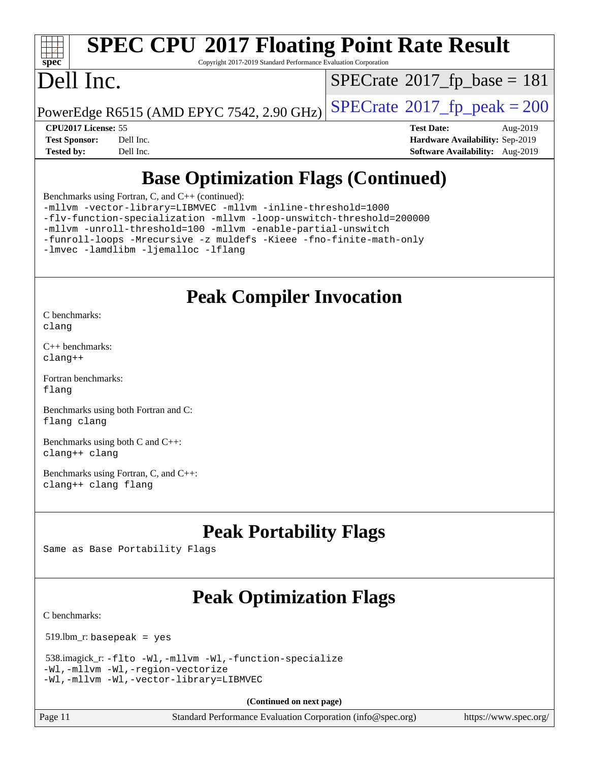## **[SPEC CPU](http://www.spec.org/auto/cpu2017/Docs/result-fields.html#SPECCPU2017FloatingPointRateResult)[2017 Floating Point Rate Result](http://www.spec.org/auto/cpu2017/Docs/result-fields.html#SPECCPU2017FloatingPointRateResult)**

Copyright 2017-2019 Standard Performance Evaluation Corporation

### Dell Inc.

 $SPECTate@2017_fp\_base = 181$ 

PowerEdge R6515 (AMD EPYC 7542, 2.90 GHz)  $\left|$  [SPECrate](http://www.spec.org/auto/cpu2017/Docs/result-fields.html#SPECrate2017fppeak)®[2017\\_fp\\_peak = 2](http://www.spec.org/auto/cpu2017/Docs/result-fields.html#SPECrate2017fppeak)00

**[CPU2017 License:](http://www.spec.org/auto/cpu2017/Docs/result-fields.html#CPU2017License)** 55 **[Test Date:](http://www.spec.org/auto/cpu2017/Docs/result-fields.html#TestDate)** Aug-2019 **[Test Sponsor:](http://www.spec.org/auto/cpu2017/Docs/result-fields.html#TestSponsor)** Dell Inc. **[Hardware Availability:](http://www.spec.org/auto/cpu2017/Docs/result-fields.html#HardwareAvailability)** Sep-2019 **[Tested by:](http://www.spec.org/auto/cpu2017/Docs/result-fields.html#Testedby)** Dell Inc. **[Software Availability:](http://www.spec.org/auto/cpu2017/Docs/result-fields.html#SoftwareAvailability)** Aug-2019

### **[Base Optimization Flags \(Continued\)](http://www.spec.org/auto/cpu2017/Docs/result-fields.html#BaseOptimizationFlags)**

[Benchmarks using Fortran, C, and C++](http://www.spec.org/auto/cpu2017/Docs/result-fields.html#BenchmarksusingFortranCandCXX) (continued):

[-mllvm -vector-library=LIBMVEC](http://www.spec.org/cpu2017/results/res2019q3/cpu2017-20190831-17280.flags.html#user_CC_CXX_FCbase_F-use-vector-library_e584e20b4f7ec96aa109254b65d8e01d864f3d68580371b9d93ed7c338191d4cfce20c3c864632264effc6bbe4c7c38153d02096a342ee92501c4a53204a7871) [-mllvm -inline-threshold=1000](http://www.spec.org/cpu2017/results/res2019q3/cpu2017-20190831-17280.flags.html#user_CC_CXX_FCbase_dragonegg-llvm-inline-threshold_b7832241b0a6397e4ecdbaf0eb7defdc10f885c2a282fa3240fdc99844d543fda39cf8a4a9dccf68cf19b5438ac3b455264f478df15da0f4988afa40d8243bab) [-flv-function-specialization](http://www.spec.org/cpu2017/results/res2019q3/cpu2017-20190831-17280.flags.html#user_CC_CXX_FCbase_F-flv-function-specialization) [-mllvm -loop-unswitch-threshold=200000](http://www.spec.org/cpu2017/results/res2019q3/cpu2017-20190831-17280.flags.html#user_CC_CXX_FCbase_F-loop-unswitch-threshold_f9a82ae3270e55b5fbf79d0d96ee93606b73edbbe527d20b18b7bff1a3a146ad50cfc7454c5297978340ae9213029016a7d16221274d672d3f7f42ed25274e1d)

[-mllvm -unroll-threshold=100](http://www.spec.org/cpu2017/results/res2019q3/cpu2017-20190831-17280.flags.html#user_CC_CXX_FCbase_F-unroll-threshold_2755d0c78138845d361fa1543e3a063fffa198df9b3edf0cfb856bbc88a81e1769b12ac7a550c5d35197be55360db1a3f95a8d1304df999456cabf5120c45168) [-mllvm -enable-partial-unswitch](http://www.spec.org/cpu2017/results/res2019q3/cpu2017-20190831-17280.flags.html#user_CC_CXX_FCbase_F-enable-partial-unswitch_6e1c33f981d77963b1eaf834973128a7f33ce3f8e27f54689656697a35e89dcc875281e0e6283d043e32f367dcb605ba0e307a92e830f7e326789fa6c61b35d3)

[-funroll-loops](http://www.spec.org/cpu2017/results/res2019q3/cpu2017-20190831-17280.flags.html#user_CC_CXX_FCbase_aocc-unroll-loops) [-Mrecursive](http://www.spec.org/cpu2017/results/res2019q3/cpu2017-20190831-17280.flags.html#user_CC_CXX_FCbase_F-mrecursive_20a145d63f12d5750a899e17d4450b5b8b40330a9bb4af13688ca650e6fb30857bbbe44fb35cdbb895df6e5b2769de0a0d7659f51ff17acfbef6febafec4023f) [-z muldefs](http://www.spec.org/cpu2017/results/res2019q3/cpu2017-20190831-17280.flags.html#user_CC_CXX_FCbase_aocc-muldefs) [-Kieee](http://www.spec.org/cpu2017/results/res2019q3/cpu2017-20190831-17280.flags.html#user_CC_CXX_FCbase_F-kieee) [-fno-finite-math-only](http://www.spec.org/cpu2017/results/res2019q3/cpu2017-20190831-17280.flags.html#user_CC_CXX_FCbase_aocc-fno-finite-math-only)

[-lmvec](http://www.spec.org/cpu2017/results/res2019q3/cpu2017-20190831-17280.flags.html#user_CC_CXX_FCbase_F-lmvec) [-lamdlibm](http://www.spec.org/cpu2017/results/res2019q3/cpu2017-20190831-17280.flags.html#user_CC_CXX_FCbase_F-lamdlibm) [-ljemalloc](http://www.spec.org/cpu2017/results/res2019q3/cpu2017-20190831-17280.flags.html#user_CC_CXX_FCbase_jemalloc-lib) [-lflang](http://www.spec.org/cpu2017/results/res2019q3/cpu2017-20190831-17280.flags.html#user_CC_CXX_FCbase_F-lflang)

### **[Peak Compiler Invocation](http://www.spec.org/auto/cpu2017/Docs/result-fields.html#PeakCompilerInvocation)**

[C benchmarks](http://www.spec.org/auto/cpu2017/Docs/result-fields.html#Cbenchmarks): [clang](http://www.spec.org/cpu2017/results/res2019q3/cpu2017-20190831-17280.flags.html#user_CCpeak_clang-c)

[C++ benchmarks:](http://www.spec.org/auto/cpu2017/Docs/result-fields.html#CXXbenchmarks) [clang++](http://www.spec.org/cpu2017/results/res2019q3/cpu2017-20190831-17280.flags.html#user_CXXpeak_clang-cpp)

[Fortran benchmarks](http://www.spec.org/auto/cpu2017/Docs/result-fields.html#Fortranbenchmarks): [flang](http://www.spec.org/cpu2017/results/res2019q3/cpu2017-20190831-17280.flags.html#user_FCpeak_flang)

[Benchmarks using both Fortran and C](http://www.spec.org/auto/cpu2017/Docs/result-fields.html#BenchmarksusingbothFortranandC): [flang](http://www.spec.org/cpu2017/results/res2019q3/cpu2017-20190831-17280.flags.html#user_CC_FCpeak_flang) [clang](http://www.spec.org/cpu2017/results/res2019q3/cpu2017-20190831-17280.flags.html#user_CC_FCpeak_clang-c)

[Benchmarks using both C and C++](http://www.spec.org/auto/cpu2017/Docs/result-fields.html#BenchmarksusingbothCandCXX): [clang++](http://www.spec.org/cpu2017/results/res2019q3/cpu2017-20190831-17280.flags.html#user_CC_CXXpeak_clang-cpp) [clang](http://www.spec.org/cpu2017/results/res2019q3/cpu2017-20190831-17280.flags.html#user_CC_CXXpeak_clang-c)

[Benchmarks using Fortran, C, and C++:](http://www.spec.org/auto/cpu2017/Docs/result-fields.html#BenchmarksusingFortranCandCXX) [clang++](http://www.spec.org/cpu2017/results/res2019q3/cpu2017-20190831-17280.flags.html#user_CC_CXX_FCpeak_clang-cpp) [clang](http://www.spec.org/cpu2017/results/res2019q3/cpu2017-20190831-17280.flags.html#user_CC_CXX_FCpeak_clang-c) [flang](http://www.spec.org/cpu2017/results/res2019q3/cpu2017-20190831-17280.flags.html#user_CC_CXX_FCpeak_flang)

### **[Peak Portability Flags](http://www.spec.org/auto/cpu2017/Docs/result-fields.html#PeakPortabilityFlags)**

Same as Base Portability Flags

### **[Peak Optimization Flags](http://www.spec.org/auto/cpu2017/Docs/result-fields.html#PeakOptimizationFlags)**

[C benchmarks](http://www.spec.org/auto/cpu2017/Docs/result-fields.html#Cbenchmarks):

519.lbm\_r: basepeak = yes

```
 538.imagick_r: -flto -Wl,-mllvm -Wl,-function-specialize
-Wl,-mllvm -Wl,-region-vectorize
-Wl,-mllvm -Wl,-vector-library=LIBMVEC
```
**(Continued on next page)**

Page 11 Standard Performance Evaluation Corporation [\(info@spec.org\)](mailto:info@spec.org) <https://www.spec.org/>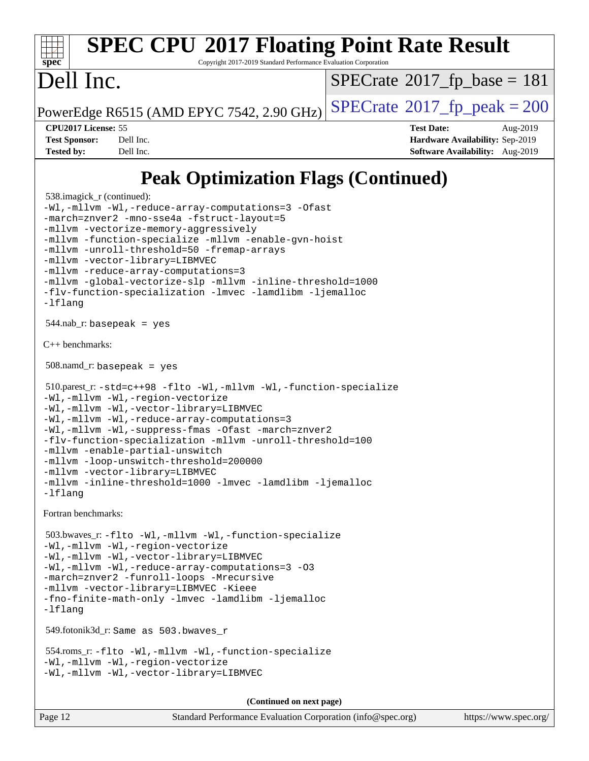#### **[spec](http://www.spec.org/) [SPEC CPU](http://www.spec.org/auto/cpu2017/Docs/result-fields.html#SPECCPU2017FloatingPointRateResult)[2017 Floating Point Rate Result](http://www.spec.org/auto/cpu2017/Docs/result-fields.html#SPECCPU2017FloatingPointRateResult)** Copyright 2017-2019 Standard Performance Evaluation Corporation Dell Inc. PowerEdge R6515 (AMD EPYC 7542, 2.90 GHz)  $\text{SPECrate}^{\circ}2017$  $\text{SPECrate}^{\circ}2017$  $\text{SPECrate}^{\circ}2017$  fp peak = 200  $SPECrate@2017_fp\_base = 181$  $SPECrate@2017_fp\_base = 181$ **[CPU2017 License:](http://www.spec.org/auto/cpu2017/Docs/result-fields.html#CPU2017License)** 55 **[Test Date:](http://www.spec.org/auto/cpu2017/Docs/result-fields.html#TestDate)** Aug-2019 **[Test Sponsor:](http://www.spec.org/auto/cpu2017/Docs/result-fields.html#TestSponsor)** Dell Inc. **[Hardware Availability:](http://www.spec.org/auto/cpu2017/Docs/result-fields.html#HardwareAvailability)** Sep-2019 **[Tested by:](http://www.spec.org/auto/cpu2017/Docs/result-fields.html#Testedby)** Dell Inc. **[Software Availability:](http://www.spec.org/auto/cpu2017/Docs/result-fields.html#SoftwareAvailability)** Aug-2019

### **[Peak Optimization Flags \(Continued\)](http://www.spec.org/auto/cpu2017/Docs/result-fields.html#PeakOptimizationFlags)**

```
 538.imagick_r (continued):
-Wl,-mllvm -Wl,-reduce-array-computations=3 -Ofast
-march=znver2 -mno-sse4a -fstruct-layout=5
-mllvm -vectorize-memory-aggressively
-mllvm -function-specialize -mllvm -enable-gvn-hoist
-mllvm -unroll-threshold=50 -fremap-arrays
-mllvm -vector-library=LIBMVEC
-mllvm -reduce-array-computations=3
-mllvm -global-vectorize-slp -mllvm -inline-threshold=1000
-flv-function-specialization -lmvec -lamdlibm -ljemalloc
-lflang
 544.nab_r: basepeak = yes
C++ benchmarks: 
 508.namd_r: basepeak = yes
 510.parest_r: -std=c++98 -flto -Wl,-mllvm -Wl,-function-specialize
-Wl,-mllvm -Wl,-region-vectorize
-Wl,-mllvm -Wl,-vector-library=LIBMVEC
-Wl,-mllvm -Wl,-reduce-array-computations=3
-Wl,-mllvm -Wl,-suppress-fmas -Ofast -march=znver2
-flv-function-specialization -mllvm -unroll-threshold=100
-mllvm -enable-partial-unswitch
-mllvm -loop-unswitch-threshold=200000
-mllvm -vector-library=LIBMVEC
-mllvm -inline-threshold=1000 -lmvec -lamdlibm -ljemalloc
-lflang
Fortran benchmarks: 
 503.bwaves_r: -flto -Wl,-mllvm -Wl,-function-specialize
-Wl,-mllvm -Wl,-region-vectorize
-Wl,-mllvm -Wl,-vector-library=LIBMVEC
-Wl,-mllvm -Wl,-reduce-array-computations=3 -O3
-march=znver2 -funroll-loops -Mrecursive
-mllvm -vector-library=LIBMVEC -Kieee
-fno-finite-math-only -lmvec -lamdlibm -ljemalloc
-lflang
 549.fotonik3d_r: Same as 503.bwaves_r
 554.roms_r: -flto -Wl,-mllvm -Wl,-function-specialize
-Wl,-mllvm -Wl,-region-vectorize
-Wl,-mllvm -Wl,-vector-library=LIBMVEC
                                     (Continued on next page)
```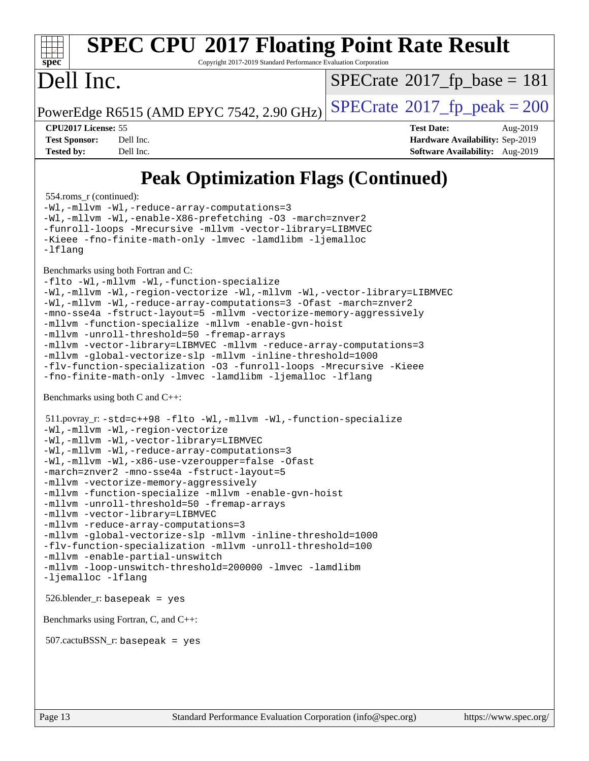## **[SPEC CPU](http://www.spec.org/auto/cpu2017/Docs/result-fields.html#SPECCPU2017FloatingPointRateResult)[2017 Floating Point Rate Result](http://www.spec.org/auto/cpu2017/Docs/result-fields.html#SPECCPU2017FloatingPointRateResult)**

Copyright 2017-2019 Standard Performance Evaluation Corporation

### Dell Inc.

 $SPECTate@2017_fp\_base = 181$ 

PowerEdge R6515 (AMD EPYC 7542, 2.90 GHz)  $\text{SPECrate}^{\circ}2017$  $\text{SPECrate}^{\circ}2017$  $\text{SPECrate}^{\circ}2017$  fp peak = 200

**[CPU2017 License:](http://www.spec.org/auto/cpu2017/Docs/result-fields.html#CPU2017License)** 55 **[Test Date:](http://www.spec.org/auto/cpu2017/Docs/result-fields.html#TestDate)** Aug-2019 **[Test Sponsor:](http://www.spec.org/auto/cpu2017/Docs/result-fields.html#TestSponsor)** Dell Inc. **[Hardware Availability:](http://www.spec.org/auto/cpu2017/Docs/result-fields.html#HardwareAvailability)** Sep-2019 **[Tested by:](http://www.spec.org/auto/cpu2017/Docs/result-fields.html#Testedby)** Dell Inc. **[Software Availability:](http://www.spec.org/auto/cpu2017/Docs/result-fields.html#SoftwareAvailability)** Aug-2019

### **[Peak Optimization Flags \(Continued\)](http://www.spec.org/auto/cpu2017/Docs/result-fields.html#PeakOptimizationFlags)**

554.roms\_r (continued):

[-Wl,-mllvm -Wl,-reduce-array-computations=3](http://www.spec.org/cpu2017/results/res2019q3/cpu2017-20190831-17280.flags.html#user_peakLDFLAGS554_roms_r_F-reduce-array-computations_b882aefe7a5dda4e33149f6299762b9a720dace3e498e13756f4c04e5a19edf5315c1f3993de2e61ec41e8c206231f84e05da7040e1bb5d69ba27d10a12507e4) [-Wl,-mllvm -Wl,-enable-X86-prefetching](http://www.spec.org/cpu2017/results/res2019q3/cpu2017-20190831-17280.flags.html#user_peakLDFFLAGS554_roms_r_F-enable-X86-prefetching_362de7b2f7f327d498ff3502bcaa6d8937de40fbbc59a600e539433e6b2cb9ea5e30d4a00c3465ce74a160670b5fcaffd57d10fdc90b0d7ee2c6f387a6bf1aee) [-O3](http://www.spec.org/cpu2017/results/res2019q3/cpu2017-20190831-17280.flags.html#user_peakFOPTIMIZE554_roms_r_F-O3) [-march=znver2](http://www.spec.org/cpu2017/results/res2019q3/cpu2017-20190831-17280.flags.html#user_peakFOPTIMIZE554_roms_r_aocc-march_3e2e19cff2eeef60c5d90b059483627c9ea47eca6d66670dbd53f9185f6439e27eb5e104cf773e9e8ab18c8842ce63e461a3e948d0214bd567ef3ade411bf467) [-funroll-loops](http://www.spec.org/cpu2017/results/res2019q3/cpu2017-20190831-17280.flags.html#user_peakFOPTIMIZE554_roms_r_aocc-unroll-loops) [-Mrecursive](http://www.spec.org/cpu2017/results/res2019q3/cpu2017-20190831-17280.flags.html#user_peakFOPTIMIZE554_roms_r_F-mrecursive_20a145d63f12d5750a899e17d4450b5b8b40330a9bb4af13688ca650e6fb30857bbbe44fb35cdbb895df6e5b2769de0a0d7659f51ff17acfbef6febafec4023f) [-mllvm -vector-library=LIBMVEC](http://www.spec.org/cpu2017/results/res2019q3/cpu2017-20190831-17280.flags.html#user_peakFOPTIMIZE554_roms_r_F-use-vector-library_e584e20b4f7ec96aa109254b65d8e01d864f3d68580371b9d93ed7c338191d4cfce20c3c864632264effc6bbe4c7c38153d02096a342ee92501c4a53204a7871) [-Kieee](http://www.spec.org/cpu2017/results/res2019q3/cpu2017-20190831-17280.flags.html#user_peakEXTRA_FFLAGS554_roms_r_F-kieee) [-fno-finite-math-only](http://www.spec.org/cpu2017/results/res2019q3/cpu2017-20190831-17280.flags.html#user_peakEXTRA_FFLAGS554_roms_r_aocc-fno-finite-math-only) [-lmvec](http://www.spec.org/cpu2017/results/res2019q3/cpu2017-20190831-17280.flags.html#user_peakEXTRA_FLIBSEXTRA_LIBS554_roms_r_F-lmvec) [-lamdlibm](http://www.spec.org/cpu2017/results/res2019q3/cpu2017-20190831-17280.flags.html#user_peakEXTRA_FLIBSEXTRA_LIBS554_roms_r_F-lamdlibm) [-ljemalloc](http://www.spec.org/cpu2017/results/res2019q3/cpu2017-20190831-17280.flags.html#user_peakEXTRA_LIBS554_roms_r_jemalloc-lib) [-lflang](http://www.spec.org/cpu2017/results/res2019q3/cpu2017-20190831-17280.flags.html#user_peakEXTRA_LIBS554_roms_r_F-lflang) [Benchmarks using both Fortran and C](http://www.spec.org/auto/cpu2017/Docs/result-fields.html#BenchmarksusingbothFortranandC): [-flto](http://www.spec.org/cpu2017/results/res2019q3/cpu2017-20190831-17280.flags.html#user_CC_FCpeak_aocc-flto) [-Wl,-mllvm -Wl,-function-specialize](http://www.spec.org/cpu2017/results/res2019q3/cpu2017-20190831-17280.flags.html#user_CC_FCpeak_F-function-specialize_7e7e661e57922243ee67c9a1251cb8910e607325179a0ce7f2884e09a6f5d4a5ef0ae4f37e8a2a11c95fc48e931f06dc2b6016f14b511fcb441e048bef1b065a) [-Wl,-mllvm -Wl,-region-vectorize](http://www.spec.org/cpu2017/results/res2019q3/cpu2017-20190831-17280.flags.html#user_CC_FCpeak_F-region-vectorize_fb6c6b5aa293c88efc6c7c2b52b20755e943585b1fe8658c35afef78727fff56e1a56891413c30e36b8e2a6f9a71126986319243e80eb6110b78b288f533c52b) [-Wl,-mllvm -Wl,-vector-library=LIBMVEC](http://www.spec.org/cpu2017/results/res2019q3/cpu2017-20190831-17280.flags.html#user_CC_FCpeak_F-use-vector-library_0a14b27fae317f283640384a31f7bfcc2bd4c1d0b5cfc618a3a430800c9b20217b00f61303eff223a3251b4f06ffbc9739dc5296db9d1fbb9ad24a3939d86d66) [-Wl,-mllvm -Wl,-reduce-array-computations=3](http://www.spec.org/cpu2017/results/res2019q3/cpu2017-20190831-17280.flags.html#user_CC_FCpeak_F-reduce-array-computations_b882aefe7a5dda4e33149f6299762b9a720dace3e498e13756f4c04e5a19edf5315c1f3993de2e61ec41e8c206231f84e05da7040e1bb5d69ba27d10a12507e4) [-Ofast](http://www.spec.org/cpu2017/results/res2019q3/cpu2017-20190831-17280.flags.html#user_CC_FCpeak_aocc-Ofast) [-march=znver2](http://www.spec.org/cpu2017/results/res2019q3/cpu2017-20190831-17280.flags.html#user_CC_FCpeak_aocc-march_3e2e19cff2eeef60c5d90b059483627c9ea47eca6d66670dbd53f9185f6439e27eb5e104cf773e9e8ab18c8842ce63e461a3e948d0214bd567ef3ade411bf467) [-mno-sse4a](http://www.spec.org/cpu2017/results/res2019q3/cpu2017-20190831-17280.flags.html#user_CC_FCpeak_F-mno-sse4a) [-fstruct-layout=5](http://www.spec.org/cpu2017/results/res2019q3/cpu2017-20190831-17280.flags.html#user_CC_FCpeak_F-struct-layout_0de9d3561e9f54a54e0843cce081bd13a08ab3e9a82696f3346606c2e11360c37113781019b02fa128d9f650e68f1ffd209bab5c3a026c1ad23e4e7f60646b23) [-mllvm -vectorize-memory-aggressively](http://www.spec.org/cpu2017/results/res2019q3/cpu2017-20190831-17280.flags.html#user_CC_FCpeak_F-vectorize-memory-aggressively_24b72a4417f50ade9e698c5b3bed87ab456cc6fc8ec6439480cb84f36ad6a3975af6e87206dea402e3871a1464ff3d60bc798e0250f330177ba629a260df1857) [-mllvm -function-specialize](http://www.spec.org/cpu2017/results/res2019q3/cpu2017-20190831-17280.flags.html#user_CC_FCpeak_F-function-specialize_233b3bdba86027f1b094368157e481c5bc59f40286dc25bfadc1858dcd5745c24fd30d5f188710db7fea399bcc9f44a80b3ce3aacc70a8870250c3ae5e1f35b8) [-mllvm -enable-gvn-hoist](http://www.spec.org/cpu2017/results/res2019q3/cpu2017-20190831-17280.flags.html#user_CC_FCpeak_F-enable-gvn-hoist_e5856354646dd6ca1333a0ad99b817e4cf8932b91b82809fd8fd47ceff7b22a89eba5c98fd3e3fa5200368fd772cec3dd56abc3c8f7b655a71b9f9848dddedd5) [-mllvm -unroll-threshold=50](http://www.spec.org/cpu2017/results/res2019q3/cpu2017-20190831-17280.flags.html#user_CC_FCpeak_F-unroll-threshold_458874500b2c105d6d5cb4d7a611c40e2b16e9e3d26b355fea72d644c3673b4de4b3932662f0ed3dbec75c491a13da2d2ca81180bd779dc531083ef1e1e549dc) [-fremap-arrays](http://www.spec.org/cpu2017/results/res2019q3/cpu2017-20190831-17280.flags.html#user_CC_FCpeak_F-fremap-arrays) [-mllvm -vector-library=LIBMVEC](http://www.spec.org/cpu2017/results/res2019q3/cpu2017-20190831-17280.flags.html#user_CC_FCpeak_F-use-vector-library_e584e20b4f7ec96aa109254b65d8e01d864f3d68580371b9d93ed7c338191d4cfce20c3c864632264effc6bbe4c7c38153d02096a342ee92501c4a53204a7871) [-mllvm -reduce-array-computations=3](http://www.spec.org/cpu2017/results/res2019q3/cpu2017-20190831-17280.flags.html#user_CC_FCpeak_F-reduce-array-computations_aceadb8604558b566e0e3a0d7a3c1533923dd1fa0889614e16288028922629a28d5695c24d3b3be4306b1e311c54317dfffe3a2e57fbcaabc737a1798de39145) [-mllvm -global-vectorize-slp](http://www.spec.org/cpu2017/results/res2019q3/cpu2017-20190831-17280.flags.html#user_CC_FCpeak_F-global-vectorize-slp_a3935e8627af4ced727033b1ffd4db27f4d541a363d28d82bf4c2925fb3a0fd4115d6e42d13a2829f9e024d6608eb67a85cb49770f2da5c5ac8dbc737afad603) [-mllvm -inline-threshold=1000](http://www.spec.org/cpu2017/results/res2019q3/cpu2017-20190831-17280.flags.html#user_CC_FCpeak_dragonegg-llvm-inline-threshold_b7832241b0a6397e4ecdbaf0eb7defdc10f885c2a282fa3240fdc99844d543fda39cf8a4a9dccf68cf19b5438ac3b455264f478df15da0f4988afa40d8243bab) [-flv-function-specialization](http://www.spec.org/cpu2017/results/res2019q3/cpu2017-20190831-17280.flags.html#user_CC_FCpeak_F-flv-function-specialization) [-O3](http://www.spec.org/cpu2017/results/res2019q3/cpu2017-20190831-17280.flags.html#user_CC_FCpeak_F-O3) [-funroll-loops](http://www.spec.org/cpu2017/results/res2019q3/cpu2017-20190831-17280.flags.html#user_CC_FCpeak_aocc-unroll-loops) [-Mrecursive](http://www.spec.org/cpu2017/results/res2019q3/cpu2017-20190831-17280.flags.html#user_CC_FCpeak_F-mrecursive_20a145d63f12d5750a899e17d4450b5b8b40330a9bb4af13688ca650e6fb30857bbbe44fb35cdbb895df6e5b2769de0a0d7659f51ff17acfbef6febafec4023f) [-Kieee](http://www.spec.org/cpu2017/results/res2019q3/cpu2017-20190831-17280.flags.html#user_CC_FCpeak_F-kieee) [-fno-finite-math-only](http://www.spec.org/cpu2017/results/res2019q3/cpu2017-20190831-17280.flags.html#user_CC_FCpeak_aocc-fno-finite-math-only) [-lmvec](http://www.spec.org/cpu2017/results/res2019q3/cpu2017-20190831-17280.flags.html#user_CC_FCpeak_F-lmvec) [-lamdlibm](http://www.spec.org/cpu2017/results/res2019q3/cpu2017-20190831-17280.flags.html#user_CC_FCpeak_F-lamdlibm) [-ljemalloc](http://www.spec.org/cpu2017/results/res2019q3/cpu2017-20190831-17280.flags.html#user_CC_FCpeak_jemalloc-lib) [-lflang](http://www.spec.org/cpu2017/results/res2019q3/cpu2017-20190831-17280.flags.html#user_CC_FCpeak_F-lflang) [Benchmarks using both C and C++](http://www.spec.org/auto/cpu2017/Docs/result-fields.html#BenchmarksusingbothCandCXX):

 511.povray\_r: [-std=c++98](http://www.spec.org/cpu2017/results/res2019q3/cpu2017-20190831-17280.flags.html#user_peakCXXLD511_povray_r_std-cpp) [-flto](http://www.spec.org/cpu2017/results/res2019q3/cpu2017-20190831-17280.flags.html#user_peakCOPTIMIZECXXOPTIMIZELDFLAGS511_povray_r_aocc-flto) [-Wl,-mllvm -Wl,-function-specialize](http://www.spec.org/cpu2017/results/res2019q3/cpu2017-20190831-17280.flags.html#user_peakLDFLAGS511_povray_r_F-function-specialize_7e7e661e57922243ee67c9a1251cb8910e607325179a0ce7f2884e09a6f5d4a5ef0ae4f37e8a2a11c95fc48e931f06dc2b6016f14b511fcb441e048bef1b065a) [-Wl,-mllvm -Wl,-region-vectorize](http://www.spec.org/cpu2017/results/res2019q3/cpu2017-20190831-17280.flags.html#user_peakLDFLAGS511_povray_r_F-region-vectorize_fb6c6b5aa293c88efc6c7c2b52b20755e943585b1fe8658c35afef78727fff56e1a56891413c30e36b8e2a6f9a71126986319243e80eb6110b78b288f533c52b) [-Wl,-mllvm -Wl,-vector-library=LIBMVEC](http://www.spec.org/cpu2017/results/res2019q3/cpu2017-20190831-17280.flags.html#user_peakLDFLAGS511_povray_r_F-use-vector-library_0a14b27fae317f283640384a31f7bfcc2bd4c1d0b5cfc618a3a430800c9b20217b00f61303eff223a3251b4f06ffbc9739dc5296db9d1fbb9ad24a3939d86d66) [-Wl,-mllvm -Wl,-reduce-array-computations=3](http://www.spec.org/cpu2017/results/res2019q3/cpu2017-20190831-17280.flags.html#user_peakLDFLAGS511_povray_r_F-reduce-array-computations_b882aefe7a5dda4e33149f6299762b9a720dace3e498e13756f4c04e5a19edf5315c1f3993de2e61ec41e8c206231f84e05da7040e1bb5d69ba27d10a12507e4) [-Wl,-mllvm -Wl,-x86-use-vzeroupper=false](http://www.spec.org/cpu2017/results/res2019q3/cpu2017-20190831-17280.flags.html#user_peakLDCXXFLAGS511_povray_r_F-no-vzeroupper_f792211b0552b0142c11cf651c85f88d7eca3e3e6d4ab29ab8b0b7be9c7d83df7aebb846b5dded1424ec84d39acb59d058815f97bc3ae9de4ba00ee4e2945c83) [-Ofast](http://www.spec.org/cpu2017/results/res2019q3/cpu2017-20190831-17280.flags.html#user_peakCOPTIMIZECXXOPTIMIZE511_povray_r_aocc-Ofast) [-march=znver2](http://www.spec.org/cpu2017/results/res2019q3/cpu2017-20190831-17280.flags.html#user_peakCOPTIMIZECXXOPTIMIZE511_povray_r_aocc-march_3e2e19cff2eeef60c5d90b059483627c9ea47eca6d66670dbd53f9185f6439e27eb5e104cf773e9e8ab18c8842ce63e461a3e948d0214bd567ef3ade411bf467) [-mno-sse4a](http://www.spec.org/cpu2017/results/res2019q3/cpu2017-20190831-17280.flags.html#user_peakCOPTIMIZE511_povray_r_F-mno-sse4a) [-fstruct-layout=5](http://www.spec.org/cpu2017/results/res2019q3/cpu2017-20190831-17280.flags.html#user_peakCOPTIMIZE511_povray_r_F-struct-layout_0de9d3561e9f54a54e0843cce081bd13a08ab3e9a82696f3346606c2e11360c37113781019b02fa128d9f650e68f1ffd209bab5c3a026c1ad23e4e7f60646b23) [-mllvm -vectorize-memory-aggressively](http://www.spec.org/cpu2017/results/res2019q3/cpu2017-20190831-17280.flags.html#user_peakCOPTIMIZE511_povray_r_F-vectorize-memory-aggressively_24b72a4417f50ade9e698c5b3bed87ab456cc6fc8ec6439480cb84f36ad6a3975af6e87206dea402e3871a1464ff3d60bc798e0250f330177ba629a260df1857) [-mllvm -function-specialize](http://www.spec.org/cpu2017/results/res2019q3/cpu2017-20190831-17280.flags.html#user_peakCOPTIMIZE511_povray_r_F-function-specialize_233b3bdba86027f1b094368157e481c5bc59f40286dc25bfadc1858dcd5745c24fd30d5f188710db7fea399bcc9f44a80b3ce3aacc70a8870250c3ae5e1f35b8) [-mllvm -enable-gvn-hoist](http://www.spec.org/cpu2017/results/res2019q3/cpu2017-20190831-17280.flags.html#user_peakCOPTIMIZE511_povray_r_F-enable-gvn-hoist_e5856354646dd6ca1333a0ad99b817e4cf8932b91b82809fd8fd47ceff7b22a89eba5c98fd3e3fa5200368fd772cec3dd56abc3c8f7b655a71b9f9848dddedd5) [-mllvm -unroll-threshold=50](http://www.spec.org/cpu2017/results/res2019q3/cpu2017-20190831-17280.flags.html#user_peakCOPTIMIZE511_povray_r_F-unroll-threshold_458874500b2c105d6d5cb4d7a611c40e2b16e9e3d26b355fea72d644c3673b4de4b3932662f0ed3dbec75c491a13da2d2ca81180bd779dc531083ef1e1e549dc) [-fremap-arrays](http://www.spec.org/cpu2017/results/res2019q3/cpu2017-20190831-17280.flags.html#user_peakCOPTIMIZE511_povray_r_F-fremap-arrays) [-mllvm -vector-library=LIBMVEC](http://www.spec.org/cpu2017/results/res2019q3/cpu2017-20190831-17280.flags.html#user_peakCOPTIMIZECXXOPTIMIZE511_povray_r_F-use-vector-library_e584e20b4f7ec96aa109254b65d8e01d864f3d68580371b9d93ed7c338191d4cfce20c3c864632264effc6bbe4c7c38153d02096a342ee92501c4a53204a7871) [-mllvm -reduce-array-computations=3](http://www.spec.org/cpu2017/results/res2019q3/cpu2017-20190831-17280.flags.html#user_peakCOPTIMIZE511_povray_r_F-reduce-array-computations_aceadb8604558b566e0e3a0d7a3c1533923dd1fa0889614e16288028922629a28d5695c24d3b3be4306b1e311c54317dfffe3a2e57fbcaabc737a1798de39145) [-mllvm -global-vectorize-slp](http://www.spec.org/cpu2017/results/res2019q3/cpu2017-20190831-17280.flags.html#user_peakCOPTIMIZE511_povray_r_F-global-vectorize-slp_a3935e8627af4ced727033b1ffd4db27f4d541a363d28d82bf4c2925fb3a0fd4115d6e42d13a2829f9e024d6608eb67a85cb49770f2da5c5ac8dbc737afad603) [-mllvm -inline-threshold=1000](http://www.spec.org/cpu2017/results/res2019q3/cpu2017-20190831-17280.flags.html#user_peakCOPTIMIZECXXOPTIMIZE511_povray_r_dragonegg-llvm-inline-threshold_b7832241b0a6397e4ecdbaf0eb7defdc10f885c2a282fa3240fdc99844d543fda39cf8a4a9dccf68cf19b5438ac3b455264f478df15da0f4988afa40d8243bab) [-flv-function-specialization](http://www.spec.org/cpu2017/results/res2019q3/cpu2017-20190831-17280.flags.html#user_peakCOPTIMIZECXXOPTIMIZE511_povray_r_F-flv-function-specialization) [-mllvm -unroll-threshold=100](http://www.spec.org/cpu2017/results/res2019q3/cpu2017-20190831-17280.flags.html#user_peakCXXOPTIMIZE511_povray_r_F-unroll-threshold_2755d0c78138845d361fa1543e3a063fffa198df9b3edf0cfb856bbc88a81e1769b12ac7a550c5d35197be55360db1a3f95a8d1304df999456cabf5120c45168) [-mllvm -enable-partial-unswitch](http://www.spec.org/cpu2017/results/res2019q3/cpu2017-20190831-17280.flags.html#user_peakCXXOPTIMIZE511_povray_r_F-enable-partial-unswitch_6e1c33f981d77963b1eaf834973128a7f33ce3f8e27f54689656697a35e89dcc875281e0e6283d043e32f367dcb605ba0e307a92e830f7e326789fa6c61b35d3) [-mllvm -loop-unswitch-threshold=200000](http://www.spec.org/cpu2017/results/res2019q3/cpu2017-20190831-17280.flags.html#user_peakCXXOPTIMIZE511_povray_r_F-loop-unswitch-threshold_f9a82ae3270e55b5fbf79d0d96ee93606b73edbbe527d20b18b7bff1a3a146ad50cfc7454c5297978340ae9213029016a7d16221274d672d3f7f42ed25274e1d) [-lmvec](http://www.spec.org/cpu2017/results/res2019q3/cpu2017-20190831-17280.flags.html#user_peakEXTRA_LIBS511_povray_r_F-lmvec) [-lamdlibm](http://www.spec.org/cpu2017/results/res2019q3/cpu2017-20190831-17280.flags.html#user_peakEXTRA_LIBS511_povray_r_F-lamdlibm) [-ljemalloc](http://www.spec.org/cpu2017/results/res2019q3/cpu2017-20190831-17280.flags.html#user_peakEXTRA_LIBS511_povray_r_jemalloc-lib) [-lflang](http://www.spec.org/cpu2017/results/res2019q3/cpu2017-20190831-17280.flags.html#user_peakEXTRA_LIBS511_povray_r_F-lflang)

526.blender\_r: basepeak = yes

[Benchmarks using Fortran, C, and C++:](http://www.spec.org/auto/cpu2017/Docs/result-fields.html#BenchmarksusingFortranCandCXX)

507.cactuBSSN\_r: basepeak = yes